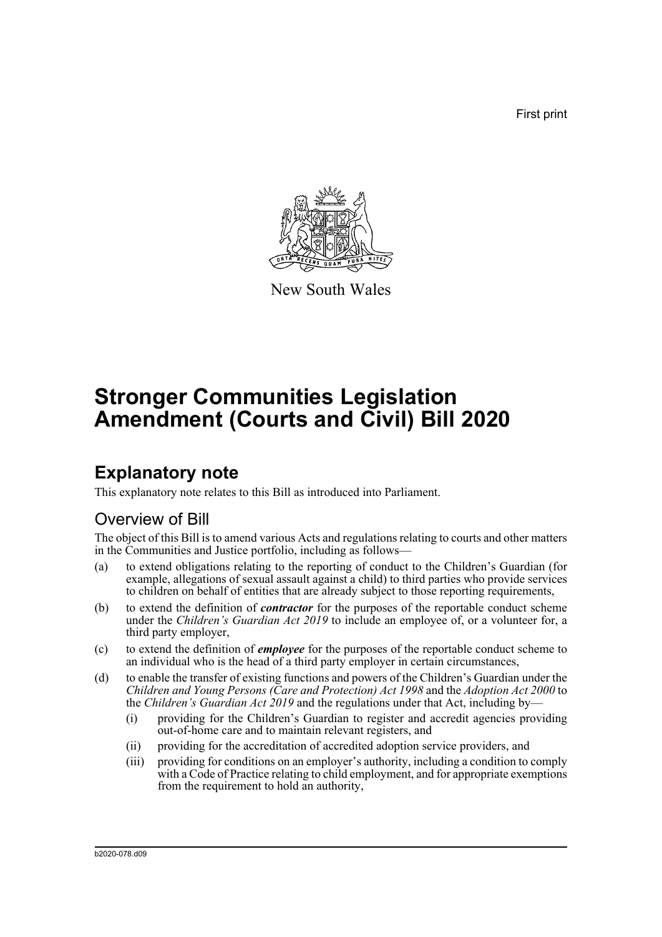First print



New South Wales

# **Stronger Communities Legislation Amendment (Courts and Civil) Bill 2020**

# **Explanatory note**

This explanatory note relates to this Bill as introduced into Parliament.

## Overview of Bill

The object of this Bill is to amend various Acts and regulations relating to courts and other matters in the Communities and Justice portfolio, including as follows—

- (a) to extend obligations relating to the reporting of conduct to the Children's Guardian (for example, allegations of sexual assault against a child) to third parties who provide services to children on behalf of entities that are already subject to those reporting requirements,
- (b) to extend the definition of *contractor* for the purposes of the reportable conduct scheme under the *Children's Guardian Act 2019* to include an employee of, or a volunteer for, a third party employer,
- (c) to extend the definition of *employee* for the purposes of the reportable conduct scheme to an individual who is the head of a third party employer in certain circumstances,
- (d) to enable the transfer of existing functions and powers of the Children's Guardian under the *Children and Young Persons (Care and Protection) Act 1998* and the *Adoption Act 2000* to the *Children's Guardian Act 2019* and the regulations under that Act, including by—
	- (i) providing for the Children's Guardian to register and accredit agencies providing out-of-home care and to maintain relevant registers, and
	- (ii) providing for the accreditation of accredited adoption service providers, and
	- (iii) providing for conditions on an employer's authority, including a condition to comply with a Code of Practice relating to child employment, and for appropriate exemptions from the requirement to hold an authority,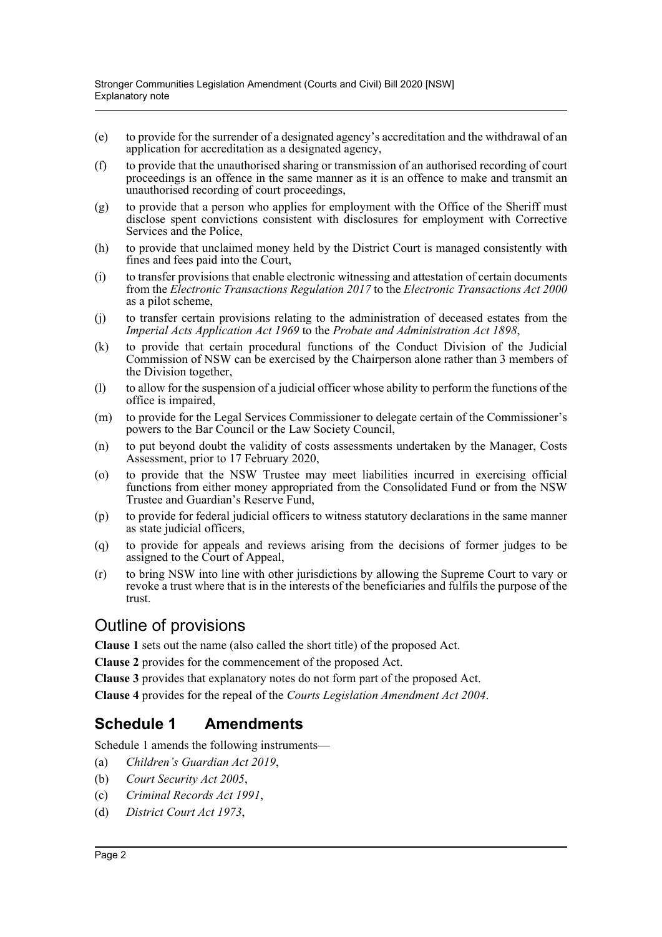- (e) to provide for the surrender of a designated agency's accreditation and the withdrawal of an application for accreditation as a designated agency,
- (f) to provide that the unauthorised sharing or transmission of an authorised recording of court proceedings is an offence in the same manner as it is an offence to make and transmit an unauthorised recording of court proceedings,
- (g) to provide that a person who applies for employment with the Office of the Sheriff must disclose spent convictions consistent with disclosures for employment with Corrective Services and the Police,
- (h) to provide that unclaimed money held by the District Court is managed consistently with fines and fees paid into the Court,
- (i) to transfer provisions that enable electronic witnessing and attestation of certain documents from the *Electronic Transactions Regulation 2017* to the *Electronic Transactions Act 2000* as a pilot scheme,
- (j) to transfer certain provisions relating to the administration of deceased estates from the *Imperial Acts Application Act 1969* to the *Probate and Administration Act 1898*,
- (k) to provide that certain procedural functions of the Conduct Division of the Judicial Commission of NSW can be exercised by the Chairperson alone rather than 3 members of the Division together,
- (l) to allow for the suspension of a judicial officer whose ability to perform the functions of the office is impaired,
- (m) to provide for the Legal Services Commissioner to delegate certain of the Commissioner's powers to the Bar Council or the Law Society Council,
- (n) to put beyond doubt the validity of costs assessments undertaken by the Manager, Costs Assessment, prior to 17 February 2020,
- (o) to provide that the NSW Trustee may meet liabilities incurred in exercising official functions from either money appropriated from the Consolidated Fund or from the NSW Trustee and Guardian's Reserve Fund,
- (p) to provide for federal judicial officers to witness statutory declarations in the same manner as state judicial officers,
- (q) to provide for appeals and reviews arising from the decisions of former judges to be assigned to the Court of Appeal,
- (r) to bring NSW into line with other jurisdictions by allowing the Supreme Court to vary or revoke a trust where that is in the interests of the beneficiaries and fulfils the purpose of the trust.

### Outline of provisions

**Clause 1** sets out the name (also called the short title) of the proposed Act.

**Clause 2** provides for the commencement of the proposed Act.

**Clause 3** provides that explanatory notes do not form part of the proposed Act.

**Clause 4** provides for the repeal of the *Courts Legislation Amendment Act 2004*.

### **Schedule 1 Amendments**

Schedule 1 amends the following instruments—

- (a) *Children's Guardian Act 2019*,
- (b) *Court Security Act 2005*,
- (c) *Criminal Records Act 1991*,
- (d) *District Court Act 1973*,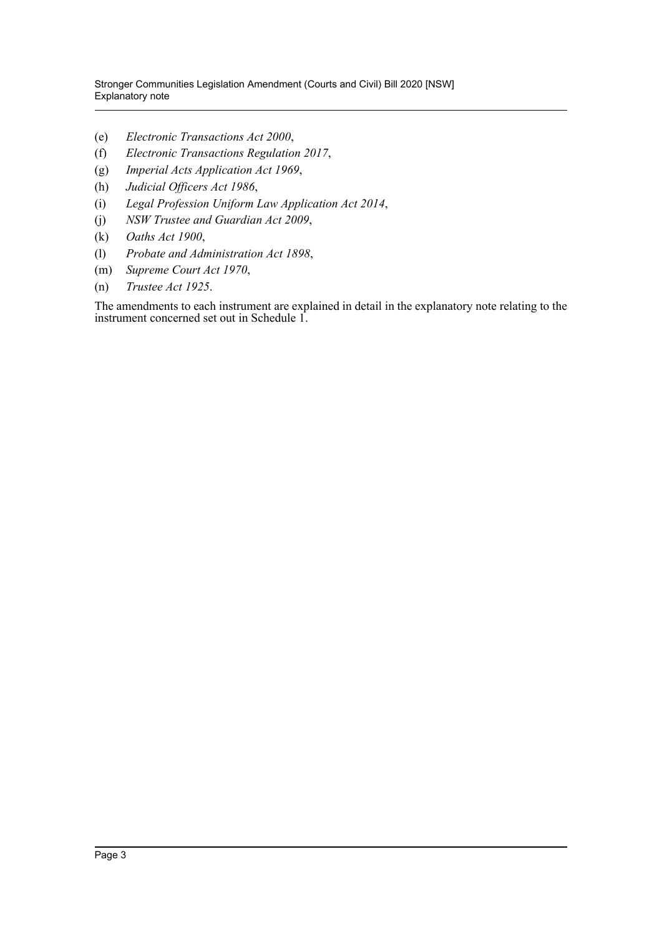Stronger Communities Legislation Amendment (Courts and Civil) Bill 2020 [NSW] Explanatory note

- (e) *Electronic Transactions Act 2000*,
- (f) *Electronic Transactions Regulation 2017*,
- (g) *Imperial Acts Application Act 1969*,
- (h) *Judicial Officers Act 1986*,
- (i) *Legal Profession Uniform Law Application Act 2014*,
- (j) *NSW Trustee and Guardian Act 2009*,
- (k) *Oaths Act 1900*,
- (l) *Probate and Administration Act 1898*,
- (m) *Supreme Court Act 1970*,
- (n) *Trustee Act 1925*.

The amendments to each instrument are explained in detail in the explanatory note relating to the instrument concerned set out in Schedule 1.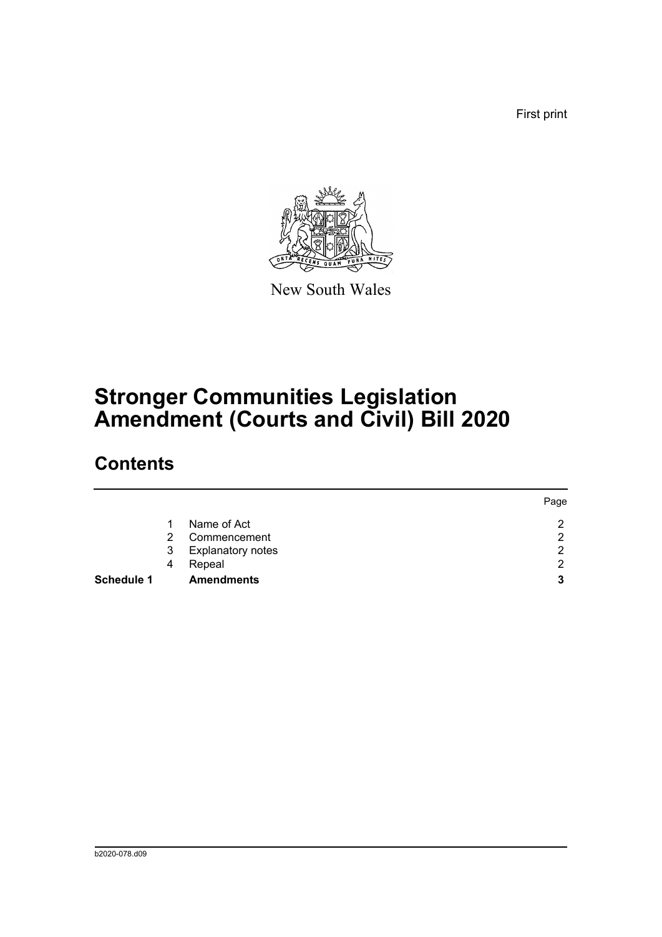First print



New South Wales

# **Stronger Communities Legislation Amendment (Courts and Civil) Bill 2020**

# **Contents**

|                   |   |                          | Page |
|-------------------|---|--------------------------|------|
|                   |   | Name of Act              | າ    |
|                   | 2 | Commencement             | 2    |
|                   | 3 | <b>Explanatory notes</b> | 2    |
|                   | 4 | Repeal                   | っ    |
| <b>Schedule 1</b> |   | <b>Amendments</b>        | 3    |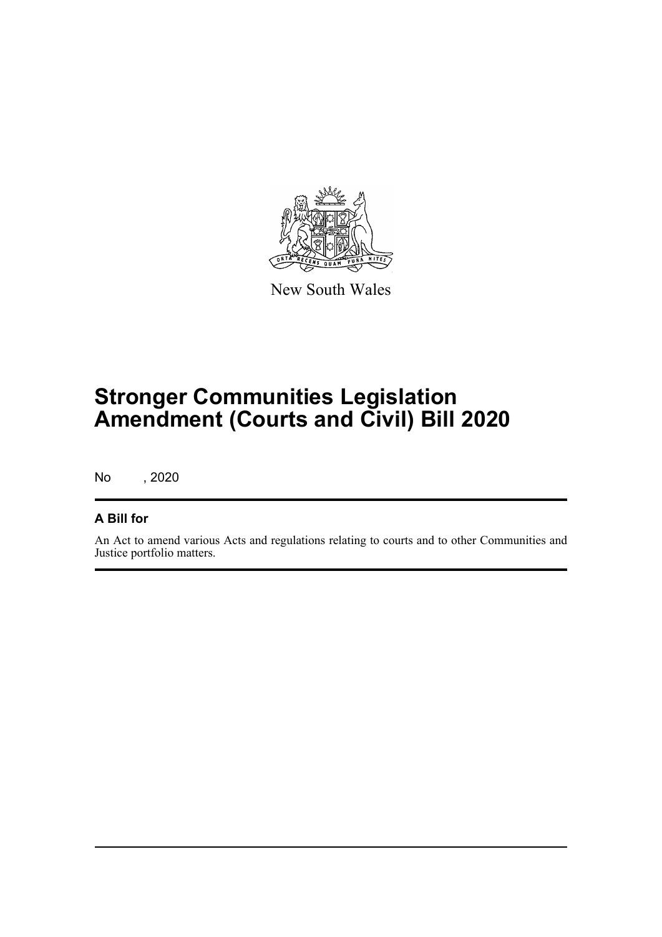

New South Wales

# **Stronger Communities Legislation Amendment (Courts and Civil) Bill 2020**

No , 2020

### **A Bill for**

An Act to amend various Acts and regulations relating to courts and to other Communities and Justice portfolio matters.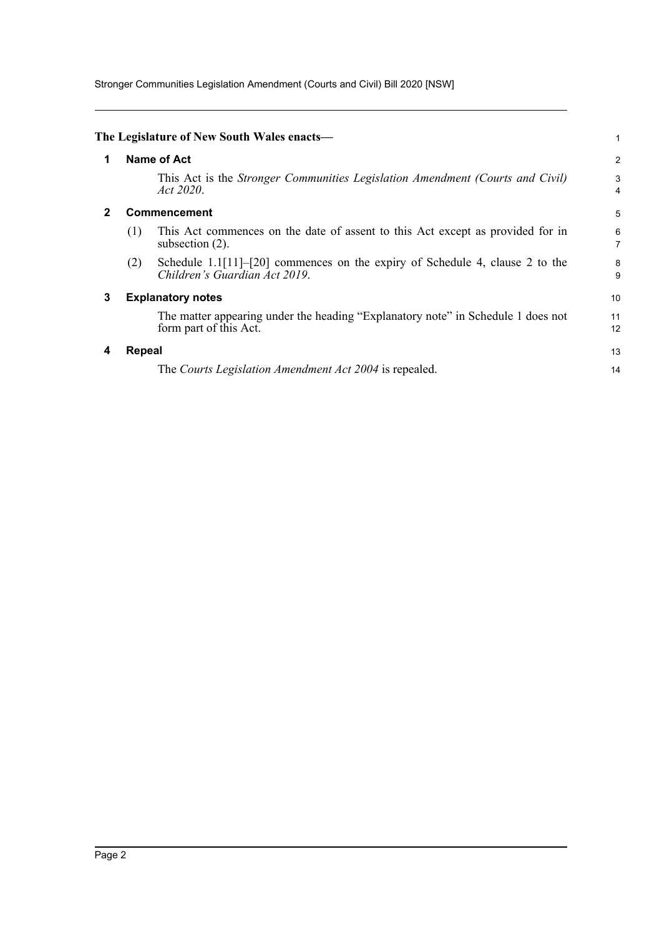Stronger Communities Legislation Amendment (Courts and Civil) Bill 2020 [NSW]

<span id="page-5-3"></span><span id="page-5-2"></span><span id="page-5-1"></span><span id="page-5-0"></span>

|                                     |                                                                                                                 | 1                                                                                               |  |  |
|-------------------------------------|-----------------------------------------------------------------------------------------------------------------|-------------------------------------------------------------------------------------------------|--|--|
|                                     |                                                                                                                 | $\overline{2}$                                                                                  |  |  |
|                                     | This Act is the Stronger Communities Legislation Amendment (Courts and Civil)<br>Act 2020.                      | 3<br>4                                                                                          |  |  |
| <b>Commencement</b><br>$\mathbf{2}$ |                                                                                                                 |                                                                                                 |  |  |
| (1)                                 | This Act commences on the date of assent to this Act except as provided for in<br>subsection $(2)$ .            | 6<br>7                                                                                          |  |  |
| (2)                                 | Schedule $1.1[11]-[20]$ commences on the expiry of Schedule 4, clause 2 to the<br>Children's Guardian Act 2019. | 8<br>9                                                                                          |  |  |
|                                     |                                                                                                                 | 10                                                                                              |  |  |
|                                     | The matter appearing under the heading "Explanatory note" in Schedule 1 does not<br>form part of this Act.      | 11<br>12                                                                                        |  |  |
|                                     |                                                                                                                 | 13                                                                                              |  |  |
|                                     | The Courts Legislation Amendment Act 2004 is repealed.                                                          | 14                                                                                              |  |  |
|                                     |                                                                                                                 | The Legislature of New South Wales enacts—<br>Name of Act<br><b>Explanatory notes</b><br>Repeal |  |  |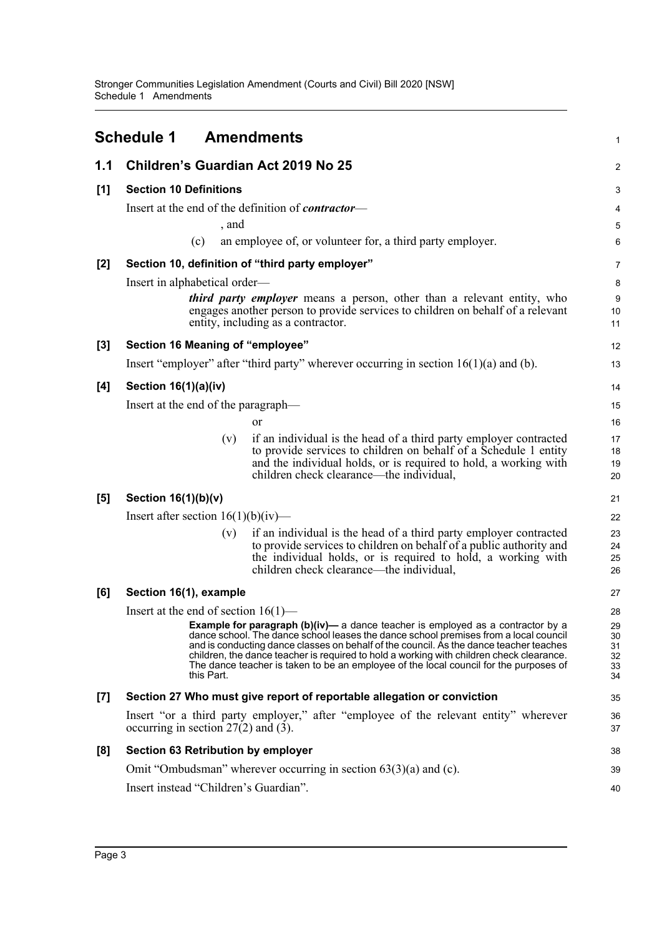<span id="page-6-0"></span>

|       | <b>Schedule 1</b>                                          | <b>Amendments</b>                                                                                                                                                                                                                                                                                                                                                                                                                                              | $\mathbf 1$                      |
|-------|------------------------------------------------------------|----------------------------------------------------------------------------------------------------------------------------------------------------------------------------------------------------------------------------------------------------------------------------------------------------------------------------------------------------------------------------------------------------------------------------------------------------------------|----------------------------------|
| 1.1   | Children's Guardian Act 2019 No 25                         |                                                                                                                                                                                                                                                                                                                                                                                                                                                                | $\boldsymbol{2}$                 |
| [1]   | <b>Section 10 Definitions</b>                              |                                                                                                                                                                                                                                                                                                                                                                                                                                                                | 3                                |
|       | Insert at the end of the definition of <i>contractor</i> — |                                                                                                                                                                                                                                                                                                                                                                                                                                                                | 4                                |
|       | , and                                                      |                                                                                                                                                                                                                                                                                                                                                                                                                                                                | 5                                |
|       | (c)                                                        | an employee of, or volunteer for, a third party employer.                                                                                                                                                                                                                                                                                                                                                                                                      | 6                                |
| $[2]$ | Section 10, definition of "third party employer"           |                                                                                                                                                                                                                                                                                                                                                                                                                                                                | 7                                |
|       | Insert in alphabetical order—                              |                                                                                                                                                                                                                                                                                                                                                                                                                                                                | 8                                |
|       |                                                            | <i>third party employer</i> means a person, other than a relevant entity, who<br>engages another person to provide services to children on behalf of a relevant<br>entity, including as a contractor.                                                                                                                                                                                                                                                          | 9<br>10<br>11                    |
| $[3]$ | Section 16 Meaning of "employee"                           |                                                                                                                                                                                                                                                                                                                                                                                                                                                                | 12                               |
|       |                                                            | Insert "employer" after "third party" wherever occurring in section $16(1)(a)$ and (b).                                                                                                                                                                                                                                                                                                                                                                        | 13                               |
| [4]   | Section 16(1)(a)(iv)                                       |                                                                                                                                                                                                                                                                                                                                                                                                                                                                | 14                               |
|       | Insert at the end of the paragraph—                        |                                                                                                                                                                                                                                                                                                                                                                                                                                                                | 15                               |
|       |                                                            | or                                                                                                                                                                                                                                                                                                                                                                                                                                                             | 16                               |
|       | (v)                                                        | if an individual is the head of a third party employer contracted<br>to provide services to children on behalf of a Schedule 1 entity<br>and the individual holds, or is required to hold, a working with<br>children check clearance—the individual,                                                                                                                                                                                                          | 17<br>18<br>19<br>20             |
| [5]   | Section $16(1)(b)(v)$                                      |                                                                                                                                                                                                                                                                                                                                                                                                                                                                | 21                               |
|       | Insert after section $16(1)(b)(iv)$ —                      |                                                                                                                                                                                                                                                                                                                                                                                                                                                                | 22                               |
|       | (v)                                                        | if an individual is the head of a third party employer contracted<br>to provide services to children on behalf of a public authority and<br>the individual holds, or is required to hold, a working with<br>children check clearance—the individual,                                                                                                                                                                                                           | 23<br>24<br>25<br>26             |
| [6]   | Section 16(1), example                                     |                                                                                                                                                                                                                                                                                                                                                                                                                                                                | 27                               |
|       | Insert at the end of section $16(1)$ —                     |                                                                                                                                                                                                                                                                                                                                                                                                                                                                | 28                               |
|       | this Part.                                                 | <b>Example for paragraph (b)(iv)</b> — a dance teacher is employed as a contractor by a<br>dance school. The dance school leases the dance school premises from a local council<br>and is conducting dance classes on behalf of the council. As the dance teacher teaches<br>children, the dance teacher is required to hold a working with children check clearance.<br>The dance teacher is taken to be an employee of the local council for the purposes of | 29<br>30<br>31<br>32<br>33<br>34 |
| $[7]$ |                                                            | Section 27 Who must give report of reportable allegation or conviction                                                                                                                                                                                                                                                                                                                                                                                         | 35                               |
|       | occurring in section $27(2)$ and (3).                      | Insert "or a third party employer," after "employee of the relevant entity" wherever                                                                                                                                                                                                                                                                                                                                                                           | 36<br>37                         |
| [8]   | Section 63 Retribution by employer                         |                                                                                                                                                                                                                                                                                                                                                                                                                                                                | 38                               |
|       |                                                            | Omit "Ombudsman" wherever occurring in section $63(3)(a)$ and (c).                                                                                                                                                                                                                                                                                                                                                                                             | 39                               |
|       | Insert instead "Children's Guardian".                      |                                                                                                                                                                                                                                                                                                                                                                                                                                                                | 40                               |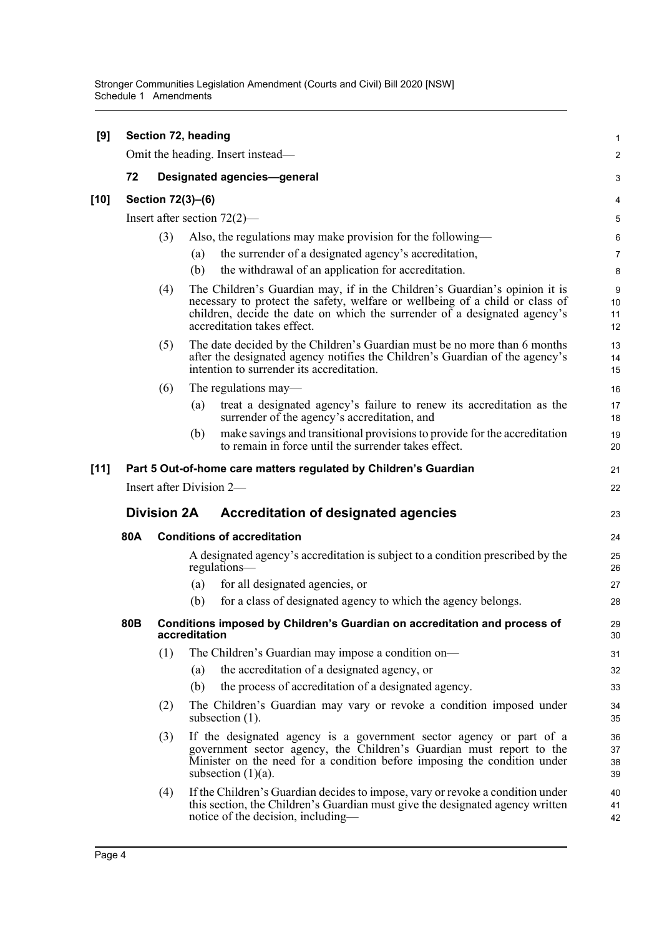| [9]    | Section 72, heading                                               |                   |                                    |                                                                                                                                                                                                                                                                        |                          |  |  |  |
|--------|-------------------------------------------------------------------|-------------------|------------------------------------|------------------------------------------------------------------------------------------------------------------------------------------------------------------------------------------------------------------------------------------------------------------------|--------------------------|--|--|--|
|        |                                                                   |                   |                                    | Omit the heading. Insert instead—                                                                                                                                                                                                                                      | $\overline{2}$           |  |  |  |
|        | 72                                                                |                   | <b>Designated agencies-general</b> |                                                                                                                                                                                                                                                                        |                          |  |  |  |
| [10]   |                                                                   | Section 72(3)-(6) |                                    |                                                                                                                                                                                                                                                                        | 4                        |  |  |  |
|        | Insert after section $72(2)$ —                                    |                   |                                    |                                                                                                                                                                                                                                                                        |                          |  |  |  |
|        |                                                                   | (3)               | (a)<br>(b)                         | Also, the regulations may make provision for the following—<br>the surrender of a designated agency's accreditation,<br>the withdrawal of an application for accreditation.                                                                                            | 6<br>$\overline{7}$<br>8 |  |  |  |
|        |                                                                   | (4)               |                                    | The Children's Guardian may, if in the Children's Guardian's opinion it is<br>necessary to protect the safety, welfare or wellbeing of a child or class of<br>children, decide the date on which the surrender of a designated agency's<br>accreditation takes effect. | 9<br>10<br>11<br>12      |  |  |  |
|        |                                                                   | (5)               |                                    | The date decided by the Children's Guardian must be no more than 6 months<br>after the designated agency notifies the Children's Guardian of the agency's<br>intention to surrender its accreditation.                                                                 | 13<br>14<br>15           |  |  |  |
|        |                                                                   | (6)               |                                    | The regulations may—                                                                                                                                                                                                                                                   | 16                       |  |  |  |
|        |                                                                   |                   | (a)                                | treat a designated agency's failure to renew its accreditation as the<br>surrender of the agency's accreditation, and                                                                                                                                                  | 17<br>18                 |  |  |  |
|        |                                                                   |                   | (b)                                | make savings and transitional provisions to provide for the accreditation<br>to remain in force until the surrender takes effect.                                                                                                                                      | 19<br>20                 |  |  |  |
| $[11]$ |                                                                   |                   |                                    | Part 5 Out-of-home care matters regulated by Children's Guardian                                                                                                                                                                                                       | 21                       |  |  |  |
|        |                                                                   |                   |                                    | Insert after Division 2-                                                                                                                                                                                                                                               | 22                       |  |  |  |
|        | <b>Division 2A</b><br><b>Accreditation of designated agencies</b> |                   |                                    |                                                                                                                                                                                                                                                                        |                          |  |  |  |
|        | 80A                                                               |                   |                                    | <b>Conditions of accreditation</b>                                                                                                                                                                                                                                     | 24                       |  |  |  |
|        |                                                                   |                   |                                    | A designated agency's accreditation is subject to a condition prescribed by the<br>regulations—                                                                                                                                                                        | 25<br>26                 |  |  |  |
|        |                                                                   |                   | (a)                                | for all designated agencies, or                                                                                                                                                                                                                                        | 27                       |  |  |  |
|        |                                                                   |                   | (b)                                | for a class of designated agency to which the agency belongs.                                                                                                                                                                                                          | 28                       |  |  |  |
|        | 80B                                                               |                   | accreditation                      | Conditions imposed by Children's Guardian on accreditation and process of                                                                                                                                                                                              | 29<br>30                 |  |  |  |
|        |                                                                   | (1)               |                                    | The Children's Guardian may impose a condition on—                                                                                                                                                                                                                     | 31                       |  |  |  |
|        |                                                                   |                   | (a)                                | the accreditation of a designated agency, or                                                                                                                                                                                                                           | 32                       |  |  |  |
|        |                                                                   |                   | (b)                                | the process of accreditation of a designated agency.                                                                                                                                                                                                                   | 33                       |  |  |  |
|        |                                                                   | (2)               |                                    | The Children's Guardian may vary or revoke a condition imposed under<br>subsection $(1)$ .                                                                                                                                                                             | 34<br>35                 |  |  |  |
|        |                                                                   | (3)               |                                    | If the designated agency is a government sector agency or part of a<br>government sector agency, the Children's Guardian must report to the<br>Minister on the need for a condition before imposing the condition under<br>subsection $(1)(a)$ .                       | 36<br>37<br>38<br>39     |  |  |  |
|        |                                                                   | (4)               |                                    | If the Children's Guardian decides to impose, vary or revoke a condition under<br>this section, the Children's Guardian must give the designated agency written<br>notice of the decision, including—                                                                  | 40<br>41<br>42           |  |  |  |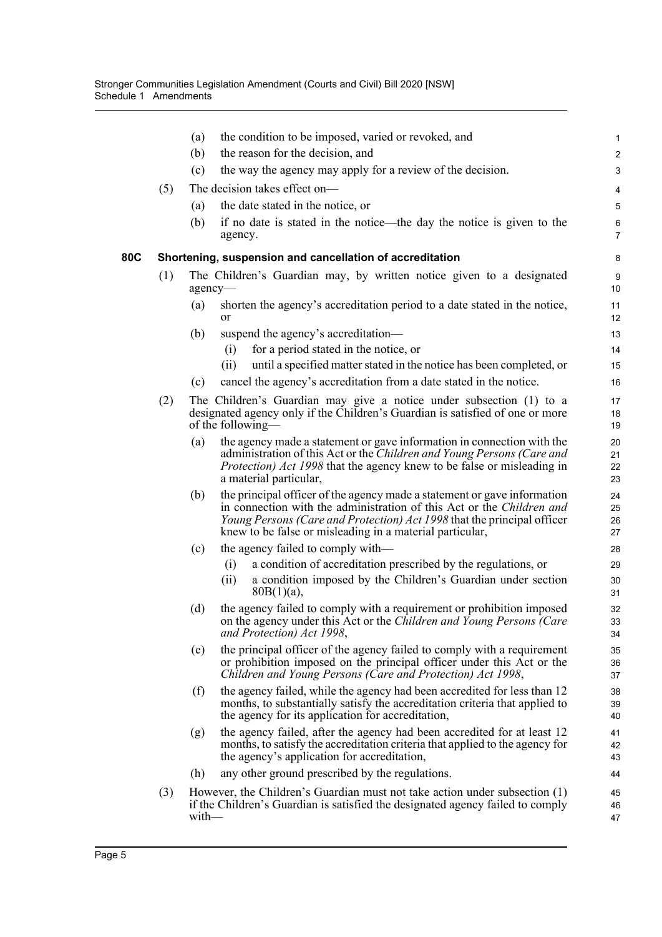|     |     | the condition to be imposed, varied or revoked, and<br>(a)                                                                                                                                                                                                                                      | $\mathbf{1}$         |
|-----|-----|-------------------------------------------------------------------------------------------------------------------------------------------------------------------------------------------------------------------------------------------------------------------------------------------------|----------------------|
|     |     | the reason for the decision, and<br>(b)                                                                                                                                                                                                                                                         | $\overline{c}$       |
|     |     | (c)<br>the way the agency may apply for a review of the decision.                                                                                                                                                                                                                               | 3                    |
|     | (5) | The decision takes effect on-                                                                                                                                                                                                                                                                   | 4                    |
|     |     | the date stated in the notice, or<br>(a)                                                                                                                                                                                                                                                        | $\mathbf 5$          |
|     |     | (b)<br>if no date is stated in the notice—the day the notice is given to the<br>agency.                                                                                                                                                                                                         | 6<br>7               |
| 80C |     | Shortening, suspension and cancellation of accreditation                                                                                                                                                                                                                                        | 8                    |
|     | (1) | The Children's Guardian may, by written notice given to a designated<br>agency-                                                                                                                                                                                                                 | 9<br>10              |
|     |     | shorten the agency's accreditation period to a date stated in the notice,<br>(a)<br><sub>or</sub>                                                                                                                                                                                               | 11<br>12             |
|     |     | (b)<br>suspend the agency's accreditation—                                                                                                                                                                                                                                                      | 13                   |
|     |     | for a period stated in the notice, or<br>(i)                                                                                                                                                                                                                                                    | 14                   |
|     |     | (ii)<br>until a specified matter stated in the notice has been completed, or                                                                                                                                                                                                                    | 15                   |
|     |     | cancel the agency's accreditation from a date stated in the notice.<br>(c)                                                                                                                                                                                                                      | 16                   |
|     | (2) | The Children's Guardian may give a notice under subsection (1) to a<br>designated agency only if the Children's Guardian is satisfied of one or more<br>of the following—                                                                                                                       | 17<br>18<br>19       |
|     |     | the agency made a statement or gave information in connection with the<br>(a)<br>administration of this Act or the Children and Young Persons (Care and<br><i>Protection) Act 1998</i> that the agency knew to be false or misleading in<br>a material particular,                              | 20<br>21<br>22<br>23 |
|     |     | the principal officer of the agency made a statement or gave information<br>(b)<br>in connection with the administration of this Act or the Children and<br>Young Persons (Care and Protection) Act 1998 that the principal officer<br>knew to be false or misleading in a material particular, | 24<br>25<br>26<br>27 |
|     |     | the agency failed to comply with—<br>(c)                                                                                                                                                                                                                                                        | 28                   |
|     |     | a condition of accreditation prescribed by the regulations, or<br>(i)                                                                                                                                                                                                                           | 29                   |
|     |     | a condition imposed by the Children's Guardian under section<br>(ii)<br>$80B(1)(a)$ ,                                                                                                                                                                                                           | 30<br>31             |
|     |     | the agency failed to comply with a requirement or prohibition imposed<br>(d)<br>on the agency under this Act or the Children and Young Persons (Care<br>and Protection) Act 1998,                                                                                                               | 32<br>33<br>34       |
|     |     | (e)<br>the principal officer of the agency failed to comply with a requirement<br>or prohibition imposed on the principal officer under this Act or the<br>Children and Young Persons (Care and Protection) Act 1998,                                                                           | 35<br>36<br>37       |
|     |     | the agency failed, while the agency had been accredited for less than 12<br>(f)<br>months, to substantially satisfy the accreditation criteria that applied to<br>the agency for its application for accreditation,                                                                             | 38<br>39<br>40       |
|     |     | the agency failed, after the agency had been accredited for at least 12<br>(g)<br>months, to satisfy the accreditation criteria that applied to the agency for<br>the agency's application for accreditation,                                                                                   | 41<br>42<br>43       |
|     |     | (h)<br>any other ground prescribed by the regulations.                                                                                                                                                                                                                                          | 44                   |
|     | (3) | However, the Children's Guardian must not take action under subsection (1)<br>if the Children's Guardian is satisfied the designated agency failed to comply<br>with                                                                                                                            | 45<br>46<br>47       |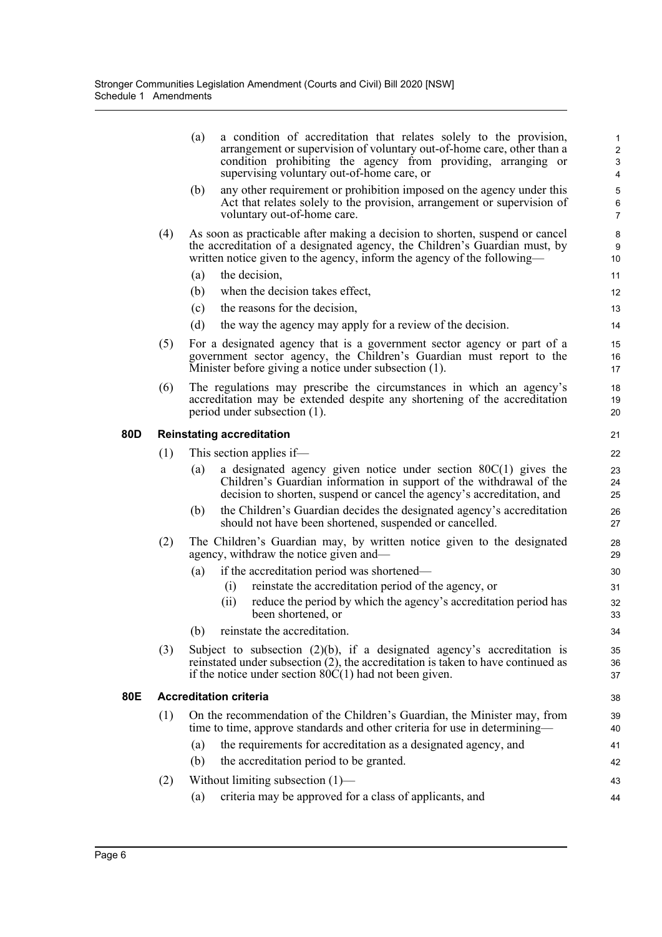|     | (a)<br>a condition of accreditation that relates solely to the provision,<br>arrangement or supervision of voluntary out-of-home care, other than a<br>condition prohibiting the agency from providing, arranging or<br>supervising voluntary out-of-home care, or | $\mathbf 1$<br>$\overline{c}$<br>$\ensuremath{\mathsf{3}}$<br>$\overline{\mathbf{4}}$         |
|-----|--------------------------------------------------------------------------------------------------------------------------------------------------------------------------------------------------------------------------------------------------------------------|-----------------------------------------------------------------------------------------------|
|     | any other requirement or prohibition imposed on the agency under this<br>(b)<br>Act that relates solely to the provision, arrangement or supervision of<br>voluntary out-of-home care.                                                                             | $\overline{5}$<br>6<br>7                                                                      |
| (4) | As soon as practicable after making a decision to shorten, suspend or cancel<br>the accreditation of a designated agency, the Children's Guardian must, by<br>written notice given to the agency, inform the agency of the following—                              | 8<br>9<br>10                                                                                  |
|     | the decision,<br>(a)                                                                                                                                                                                                                                               | 11                                                                                            |
|     | when the decision takes effect,<br>(b)                                                                                                                                                                                                                             | 12                                                                                            |
|     | the reasons for the decision,<br>(c)                                                                                                                                                                                                                               | 13                                                                                            |
|     | (d)<br>the way the agency may apply for a review of the decision.                                                                                                                                                                                                  | 14                                                                                            |
| (5) | For a designated agency that is a government sector agency or part of a<br>government sector agency, the Children's Guardian must report to the<br>Minister before giving a notice under subsection (1).                                                           | 15<br>16<br>17                                                                                |
| (6) | The regulations may prescribe the circumstances in which an agency's<br>accreditation may be extended despite any shortening of the accreditation<br>period under subsection (1).                                                                                  | 18<br>19<br>20                                                                                |
|     |                                                                                                                                                                                                                                                                    | 21                                                                                            |
|     |                                                                                                                                                                                                                                                                    | 22                                                                                            |
|     | a designated agency given notice under section $80C(1)$ gives the<br>(a)<br>Children's Guardian information in support of the withdrawal of the<br>decision to shorten, suspend or cancel the agency's accreditation, and                                          | 23<br>24<br>25                                                                                |
|     | the Children's Guardian decides the designated agency's accreditation<br>(b)<br>should not have been shortened, suspended or cancelled.                                                                                                                            | 26<br>27                                                                                      |
| (2) | The Children's Guardian may, by written notice given to the designated<br>agency, withdraw the notice given and-                                                                                                                                                   | 28<br>29                                                                                      |
|     | if the accreditation period was shortened-<br>$\left( a\right)$                                                                                                                                                                                                    | 30                                                                                            |
|     | reinstate the accreditation period of the agency, or<br>$\left( 1\right)$                                                                                                                                                                                          | 31                                                                                            |
|     | reduce the period by which the agency's accreditation period has<br>(ii)<br>been shortened, or                                                                                                                                                                     | 32<br>33                                                                                      |
|     | reinstate the accreditation.<br>(b)                                                                                                                                                                                                                                | 34                                                                                            |
| (3) | Subject to subsection $(2)(b)$ , if a designated agency's accreditation is<br>reinstated under subsection $(2)$ , the accreditation is taken to have continued as<br>if the notice under section $80C(1)$ had not been given.                                      | 35<br>36<br>37                                                                                |
|     |                                                                                                                                                                                                                                                                    | 38                                                                                            |
| (1) | On the recommendation of the Children's Guardian, the Minister may, from<br>time to time, approve standards and other criteria for use in determining—                                                                                                             | 39<br>40                                                                                      |
|     | the requirements for accreditation as a designated agency, and<br>(a)                                                                                                                                                                                              | 41                                                                                            |
|     | (b)<br>the accreditation period to be granted.                                                                                                                                                                                                                     | 42                                                                                            |
| (2) | Without limiting subsection $(1)$ —                                                                                                                                                                                                                                | 43                                                                                            |
|     | criteria may be approved for a class of applicants, and<br>(a)                                                                                                                                                                                                     | 44                                                                                            |
|     | (1)                                                                                                                                                                                                                                                                | <b>Reinstating accreditation</b><br>This section applies if—<br><b>Accreditation criteria</b> |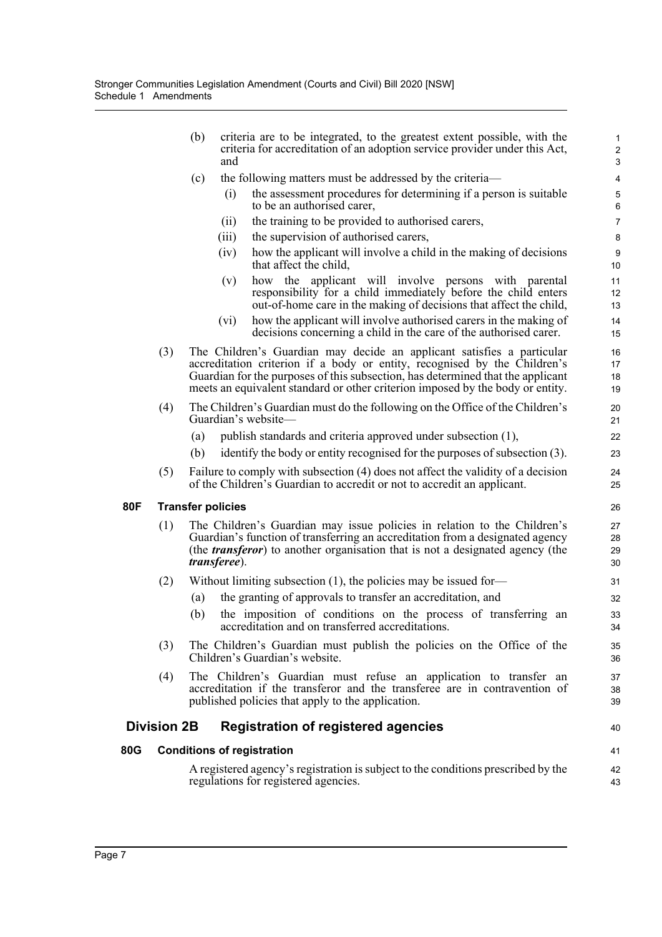|            |                    | (b) | criteria are to be integrated, to the greatest extent possible, with the<br>criteria for accreditation of an adoption service provider under this Act,<br>and                                                                                                                                                            | $\mathbf{1}$<br>$\sqrt{2}$<br>3 |
|------------|--------------------|-----|--------------------------------------------------------------------------------------------------------------------------------------------------------------------------------------------------------------------------------------------------------------------------------------------------------------------------|---------------------------------|
|            |                    | (c) | the following matters must be addressed by the criteria-                                                                                                                                                                                                                                                                 | $\overline{\mathbf{4}}$         |
|            |                    |     | the assessment procedures for determining if a person is suitable<br>(i)<br>to be an authorised carer,                                                                                                                                                                                                                   | $\mathbf 5$                     |
|            |                    |     | the training to be provided to authorised carers,<br>(ii)                                                                                                                                                                                                                                                                | $\,6$<br>$\overline{7}$         |
|            |                    |     | (iii)<br>the supervision of authorised carers,                                                                                                                                                                                                                                                                           | $\bf 8$                         |
|            |                    |     | how the applicant will involve a child in the making of decisions<br>(iv)                                                                                                                                                                                                                                                | 9                               |
|            |                    |     | that affect the child,                                                                                                                                                                                                                                                                                                   | 10                              |
|            |                    |     | how the applicant will involve persons with parental<br>(v)<br>responsibility for a child immediately before the child enters<br>out-of-home care in the making of decisions that affect the child,                                                                                                                      | 11<br>12<br>13                  |
|            |                    |     | how the applicant will involve authorised carers in the making of<br>(vi)<br>decisions concerning a child in the care of the authorised carer.                                                                                                                                                                           | 14<br>15                        |
|            | (3)                |     | The Children's Guardian may decide an applicant satisfies a particular<br>accreditation criterion if a body or entity, recognised by the Children's<br>Guardian for the purposes of this subsection, has determined that the applicant<br>meets an equivalent standard or other criterion imposed by the body or entity. | 16<br>17<br>18<br>19            |
|            | (4)                |     | The Children's Guardian must do the following on the Office of the Children's<br>Guardian's website-                                                                                                                                                                                                                     | 20<br>21                        |
|            |                    | (a) | publish standards and criteria approved under subsection (1),                                                                                                                                                                                                                                                            | 22                              |
|            |                    | (b) | identify the body or entity recognised for the purposes of subsection (3).                                                                                                                                                                                                                                               | 23                              |
|            | (5)                |     | Failure to comply with subsection (4) does not affect the validity of a decision<br>of the Children's Guardian to accredit or not to accredit an applicant.                                                                                                                                                              | 24<br>25                        |
| <b>80F</b> |                    |     | <b>Transfer policies</b>                                                                                                                                                                                                                                                                                                 | 26                              |
|            | (1)                |     | The Children's Guardian may issue policies in relation to the Children's<br>Guardian's function of transferring an accreditation from a designated agency<br>(the <i>transferor</i> ) to another organisation that is not a designated agency (the<br><i>transferee).</i>                                                | 27<br>28<br>29<br>30            |
|            | (2)                |     | Without limiting subsection $(1)$ , the policies may be issued for-                                                                                                                                                                                                                                                      | 31                              |
|            |                    | (a) | the granting of approvals to transfer an accreditation, and                                                                                                                                                                                                                                                              | 32                              |
|            |                    | (b) | the imposition of conditions on the process of transferring an<br>accreditation and on transferred accreditations.                                                                                                                                                                                                       | 33<br>34                        |
|            | (3)                |     | The Children's Guardian must publish the policies on the Office of the<br>Children's Guardian's website.                                                                                                                                                                                                                 | 35<br>36                        |
|            | (4)                |     | The Children's Guardian must refuse an application to transfer an<br>accreditation if the transferor and the transferee are in contravention of<br>published policies that apply to the application.                                                                                                                     | 37<br>38<br>39                  |
|            | <b>Division 2B</b> |     | <b>Registration of registered agencies</b>                                                                                                                                                                                                                                                                               | 40                              |
| 80G        |                    |     | <b>Conditions of registration</b>                                                                                                                                                                                                                                                                                        | 41                              |
|            |                    |     | A registered agency's registration is subject to the conditions prescribed by the<br>regulations for registered agencies.                                                                                                                                                                                                | 42<br>43                        |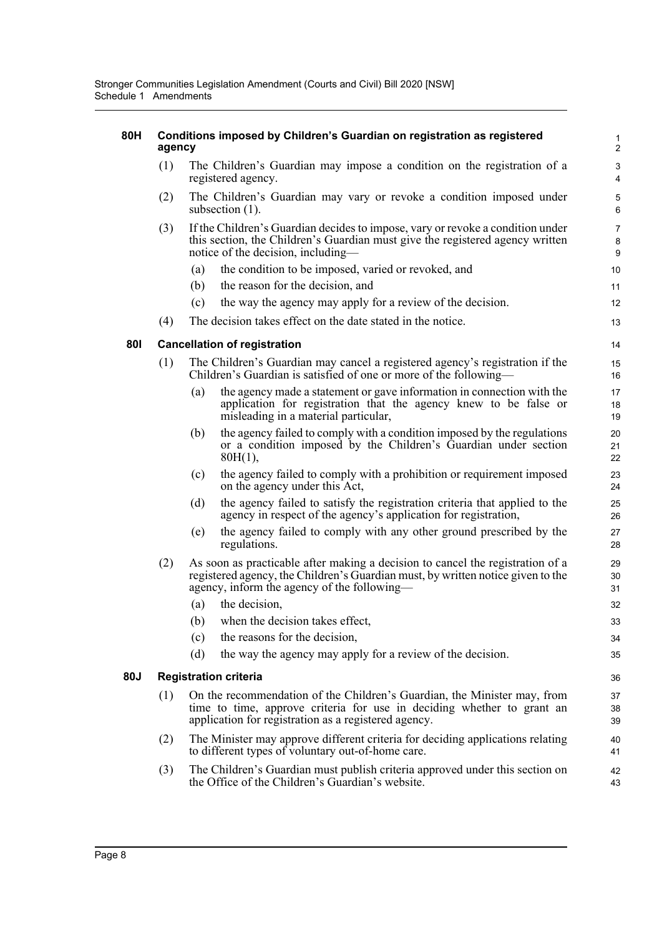#### **80H Conditions imposed by Children's Guardian on registration as registered agency**

(1) The Children's Guardian may impose a condition on the registration of a registered agency.

- (2) The Children's Guardian may vary or revoke a condition imposed under subsection  $(1)$ .
- (3) If the Children's Guardian decides to impose, vary or revoke a condition under this section, the Children's Guardian must give the registered agency written notice of the decision, including—
	- (a) the condition to be imposed, varied or revoked, and
	- (b) the reason for the decision, and
	- (c) the way the agency may apply for a review of the decision.
- (4) The decision takes effect on the date stated in the notice.

#### **80I Cancellation of registration**

- (1) The Children's Guardian may cancel a registered agency's registration if the Children's Guardian is satisfied of one or more of the following—
	- (a) the agency made a statement or gave information in connection with the application for registration that the agency knew to be false or misleading in a material particular,
	- (b) the agency failed to comply with a condition imposed by the regulations or a condition imposed by the Children's Guardian under section 80H(1),
	- (c) the agency failed to comply with a prohibition or requirement imposed on the agency under this Act,
	- (d) the agency failed to satisfy the registration criteria that applied to the agency in respect of the agency's application for registration,
	- (e) the agency failed to comply with any other ground prescribed by the regulations.
- (2) As soon as practicable after making a decision to cancel the registration of a registered agency, the Children's Guardian must, by written notice given to the agency, inform the agency of the following—
	- (a) the decision,
	- (b) when the decision takes effect, (c) the reasons for the decision, (d) the way the agency may apply for a review of the decision. 33 34 35 36

#### **80J Registration criteria**

- (1) On the recommendation of the Children's Guardian, the Minister may, from time to time, approve criteria for use in deciding whether to grant an application for registration as a registered agency.
- (2) The Minister may approve different criteria for deciding applications relating to different types of voluntary out-of-home care.
- (3) The Children's Guardian must publish criteria approved under this section on the Office of the Children's Guardian's website.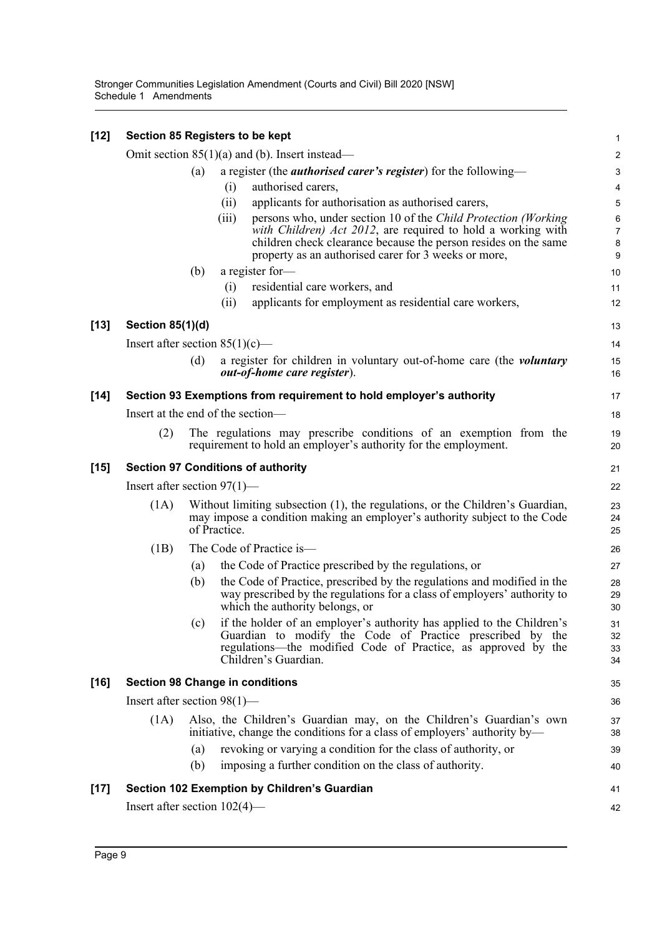| $[12]$ | Section 85 Registers to be kept           |                                                                                                                                                                            |       |                                                                                                                                                                                                                                                           | $\mathbf 1$                   |  |
|--------|-------------------------------------------|----------------------------------------------------------------------------------------------------------------------------------------------------------------------------|-------|-----------------------------------------------------------------------------------------------------------------------------------------------------------------------------------------------------------------------------------------------------------|-------------------------------|--|
|        |                                           |                                                                                                                                                                            |       | Omit section $85(1)(a)$ and (b). Insert instead—                                                                                                                                                                                                          | $\boldsymbol{2}$              |  |
|        |                                           | (a)                                                                                                                                                                        |       | a register (the <i>authorised carer's register</i> ) for the following—                                                                                                                                                                                   | $\mathsf 3$                   |  |
|        |                                           |                                                                                                                                                                            | (i)   | authorised carers,                                                                                                                                                                                                                                        | 4                             |  |
|        |                                           |                                                                                                                                                                            | (ii)  | applicants for authorisation as authorised carers,                                                                                                                                                                                                        | 5                             |  |
|        |                                           |                                                                                                                                                                            | (iii) | persons who, under section 10 of the Child Protection (Working<br>with Children) Act 2012, are required to hold a working with<br>children check clearance because the person resides on the same<br>property as an authorised carer for 3 weeks or more, | 6<br>$\overline{7}$<br>8<br>9 |  |
|        |                                           | (b)                                                                                                                                                                        |       | a register for-                                                                                                                                                                                                                                           | 10                            |  |
|        |                                           |                                                                                                                                                                            | (i)   | residential care workers, and                                                                                                                                                                                                                             | 11                            |  |
|        |                                           |                                                                                                                                                                            | (ii)  | applicants for employment as residential care workers,                                                                                                                                                                                                    | 12                            |  |
| $[13]$ | <b>Section 85(1)(d)</b>                   |                                                                                                                                                                            |       |                                                                                                                                                                                                                                                           | 13                            |  |
|        | Insert after section $85(1)(c)$ —         |                                                                                                                                                                            |       |                                                                                                                                                                                                                                                           | 14                            |  |
|        |                                           | (d)                                                                                                                                                                        |       | a register for children in voluntary out-of-home care (the voluntary<br><i>out-of-home care register</i> ).                                                                                                                                               | 15<br>16                      |  |
| $[14]$ |                                           |                                                                                                                                                                            |       | Section 93 Exemptions from requirement to hold employer's authority                                                                                                                                                                                       | 17                            |  |
|        | Insert at the end of the section—         |                                                                                                                                                                            |       |                                                                                                                                                                                                                                                           |                               |  |
|        | (2)                                       |                                                                                                                                                                            |       | The regulations may prescribe conditions of an exemption from the<br>requirement to hold an employer's authority for the employment.                                                                                                                      | 19<br>20                      |  |
| $[15]$ | <b>Section 97 Conditions of authority</b> |                                                                                                                                                                            |       |                                                                                                                                                                                                                                                           |                               |  |
|        | Insert after section $97(1)$ —            |                                                                                                                                                                            |       |                                                                                                                                                                                                                                                           |                               |  |
|        | (1A)                                      | Without limiting subsection (1), the regulations, or the Children's Guardian,<br>may impose a condition making an employer's authority subject to the Code<br>of Practice. |       |                                                                                                                                                                                                                                                           |                               |  |
|        | (1B)                                      |                                                                                                                                                                            |       | The Code of Practice is-                                                                                                                                                                                                                                  | 26                            |  |
|        |                                           | (a)                                                                                                                                                                        |       | the Code of Practice prescribed by the regulations, or                                                                                                                                                                                                    | 27                            |  |
|        |                                           | (b)                                                                                                                                                                        |       | the Code of Practice, prescribed by the regulations and modified in the<br>way prescribed by the regulations for a class of employers' authority to<br>which the authority belongs, or                                                                    | 28<br>29<br>30                |  |
|        |                                           |                                                                                                                                                                            |       | (c) if the holder of an employer's authority has applied to the Children's<br>Guardian to modify the Code of Practice prescribed by the<br>regulations—the modified Code of Practice, as approved by the<br>Children's Guardian.                          | 31<br>32<br>33<br>34          |  |
| $[16]$ | <b>Section 98 Change in conditions</b>    |                                                                                                                                                                            |       |                                                                                                                                                                                                                                                           | 35                            |  |
|        | Insert after section $98(1)$ —            |                                                                                                                                                                            |       |                                                                                                                                                                                                                                                           | 36                            |  |
|        | (1A)                                      |                                                                                                                                                                            |       | Also, the Children's Guardian may, on the Children's Guardian's own<br>initiative, change the conditions for a class of employers' authority by—                                                                                                          | 37<br>38                      |  |
|        |                                           | (a)                                                                                                                                                                        |       | revoking or varying a condition for the class of authority, or                                                                                                                                                                                            | 39                            |  |
|        |                                           | (b)                                                                                                                                                                        |       | imposing a further condition on the class of authority.                                                                                                                                                                                                   | 40                            |  |
| $[17]$ |                                           |                                                                                                                                                                            |       | Section 102 Exemption by Children's Guardian                                                                                                                                                                                                              | 41                            |  |
|        | Insert after section $102(4)$ —           |                                                                                                                                                                            |       |                                                                                                                                                                                                                                                           | 42                            |  |
|        |                                           |                                                                                                                                                                            |       |                                                                                                                                                                                                                                                           |                               |  |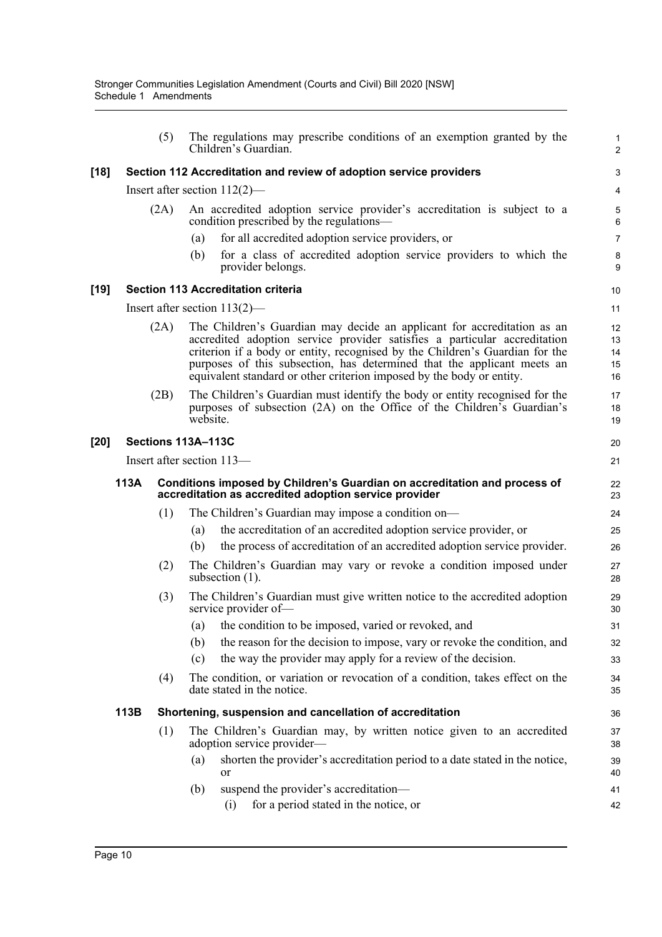|      |      | (5)  | The regulations may prescribe conditions of an exemption granted by the<br>Children's Guardian.                                                                                                                                                                                                                                                                                          | 1<br>$\overline{c}$        |
|------|------|------|------------------------------------------------------------------------------------------------------------------------------------------------------------------------------------------------------------------------------------------------------------------------------------------------------------------------------------------------------------------------------------------|----------------------------|
| [18] |      |      | Section 112 Accreditation and review of adoption service providers                                                                                                                                                                                                                                                                                                                       | 3                          |
|      |      |      | Insert after section $112(2)$ —                                                                                                                                                                                                                                                                                                                                                          | 4                          |
|      |      | (2A) | An accredited adoption service provider's accreditation is subject to a<br>condition prescribed by the regulations—                                                                                                                                                                                                                                                                      | 5<br>$6\phantom{1}6$       |
|      |      |      | for all accredited adoption service providers, or<br>(a)                                                                                                                                                                                                                                                                                                                                 | $\overline{7}$             |
|      |      |      | for a class of accredited adoption service providers to which the<br>(b)<br>provider belongs.                                                                                                                                                                                                                                                                                            | 8<br>9                     |
| [19] |      |      | <b>Section 113 Accreditation criteria</b>                                                                                                                                                                                                                                                                                                                                                | 10                         |
|      |      |      | Insert after section $113(2)$ —                                                                                                                                                                                                                                                                                                                                                          | 11                         |
|      |      | (2A) | The Children's Guardian may decide an applicant for accreditation as an<br>accredited adoption service provider satisfies a particular accreditation<br>criterion if a body or entity, recognised by the Children's Guardian for the<br>purposes of this subsection, has determined that the applicant meets an<br>equivalent standard or other criterion imposed by the body or entity. | 12<br>13<br>14<br>15<br>16 |
|      |      | (2B) | The Children's Guardian must identify the body or entity recognised for the<br>purposes of subsection (2A) on the Office of the Children's Guardian's<br>website.                                                                                                                                                                                                                        | 17<br>18<br>19             |
| [20] |      |      | Sections 113A-113C                                                                                                                                                                                                                                                                                                                                                                       | 20                         |
|      |      |      | Insert after section 113-                                                                                                                                                                                                                                                                                                                                                                | 21                         |
|      | 113A |      | Conditions imposed by Children's Guardian on accreditation and process of<br>accreditation as accredited adoption service provider                                                                                                                                                                                                                                                       | 22<br>23                   |
|      |      | (1)  | The Children's Guardian may impose a condition on-                                                                                                                                                                                                                                                                                                                                       | 24                         |
|      |      |      | the accreditation of an accredited adoption service provider, or<br>(a)                                                                                                                                                                                                                                                                                                                  | 25                         |
|      |      |      | the process of accreditation of an accredited adoption service provider.<br>(b)                                                                                                                                                                                                                                                                                                          | 26                         |
|      |      | (2)  | The Children's Guardian may vary or revoke a condition imposed under<br>subsection (1).                                                                                                                                                                                                                                                                                                  | 27<br>28                   |
|      |      | (3)  | The Children's Guardian must give written notice to the accredited adoption<br>service provider of-                                                                                                                                                                                                                                                                                      | 29<br>30                   |
|      |      |      | (a) the condition to be imposed, varied or revoked, and                                                                                                                                                                                                                                                                                                                                  | 31                         |
|      |      |      | the reason for the decision to impose, vary or revoke the condition, and<br>(b)                                                                                                                                                                                                                                                                                                          | 32                         |
|      |      |      | the way the provider may apply for a review of the decision.<br>(c)                                                                                                                                                                                                                                                                                                                      | 33                         |
|      |      | (4)  | The condition, or variation or revocation of a condition, takes effect on the<br>date stated in the notice.                                                                                                                                                                                                                                                                              | 34<br>35                   |
|      | 113B |      | Shortening, suspension and cancellation of accreditation                                                                                                                                                                                                                                                                                                                                 | 36                         |
|      |      | (1)  | The Children's Guardian may, by written notice given to an accredited<br>adoption service provider—                                                                                                                                                                                                                                                                                      | 37<br>38                   |
|      |      |      | shorten the provider's accreditation period to a date stated in the notice,<br>(a)<br>or                                                                                                                                                                                                                                                                                                 | 39<br>40                   |
|      |      |      | suspend the provider's accreditation-<br>(b)                                                                                                                                                                                                                                                                                                                                             | 41                         |
|      |      |      | for a period stated in the notice, or<br>(i)                                                                                                                                                                                                                                                                                                                                             | 42                         |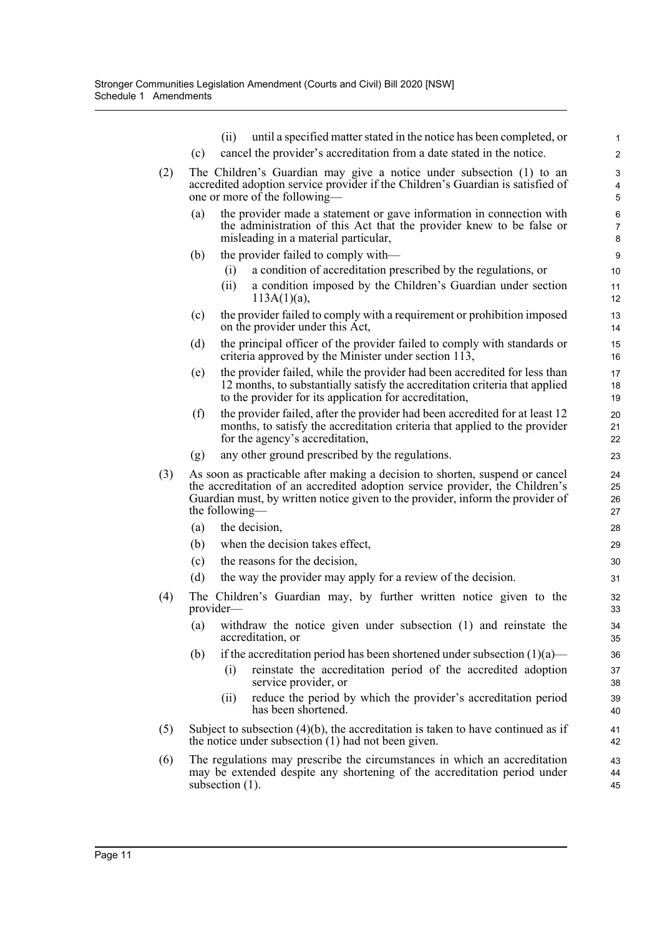|     | until a specified matter stated in the notice has been completed, or<br>(ii)                                                                                                                                                                                     | 1                    |
|-----|------------------------------------------------------------------------------------------------------------------------------------------------------------------------------------------------------------------------------------------------------------------|----------------------|
|     | (c)<br>cancel the provider's accreditation from a date stated in the notice.                                                                                                                                                                                     | $\overline{c}$       |
| (2) | The Children's Guardian may give a notice under subsection (1) to an                                                                                                                                                                                             | 3                    |
|     | accredited adoption service provider if the Children's Guardian is satisfied of<br>one or more of the following—                                                                                                                                                 | 4<br>5               |
|     | the provider made a statement or gave information in connection with<br>(a)                                                                                                                                                                                      | 6                    |
|     | the administration of this Act that the provider knew to be false or<br>misleading in a material particular,                                                                                                                                                     | 7<br>8               |
|     | the provider failed to comply with—<br>(b)                                                                                                                                                                                                                       | 9                    |
|     | a condition of accreditation prescribed by the regulations, or<br>(i)                                                                                                                                                                                            | 10                   |
|     | a condition imposed by the Children's Guardian under section<br>(ii)<br>$113A(1)(a)$ ,                                                                                                                                                                           | 11<br>12             |
|     | the provider failed to comply with a requirement or prohibition imposed<br>(c)<br>on the provider under this Act,                                                                                                                                                | 13<br>14             |
|     | (d)<br>the principal officer of the provider failed to comply with standards or<br>criteria approved by the Minister under section 113,                                                                                                                          | 15<br>16             |
|     | the provider failed, while the provider had been accredited for less than<br>(e)<br>12 months, to substantially satisfy the accreditation criteria that applied<br>to the provider for its application for accreditation,                                        | 17<br>18<br>19       |
|     | (f)<br>the provider failed, after the provider had been accredited for at least 12<br>months, to satisfy the accreditation criteria that applied to the provider<br>for the agency's accreditation,                                                              | 20<br>21<br>22       |
|     | any other ground prescribed by the regulations.<br>(g)                                                                                                                                                                                                           | 23                   |
| (3) | As soon as practicable after making a decision to shorten, suspend or cancel<br>the accreditation of an accredited adoption service provider, the Children's<br>Guardian must, by written notice given to the provider, inform the provider of<br>the following— | 24<br>25<br>26<br>27 |
|     | the decision,<br>(a)                                                                                                                                                                                                                                             | 28                   |
|     | when the decision takes effect,<br>(b)                                                                                                                                                                                                                           | 29                   |
|     | the reasons for the decision,<br>(c)                                                                                                                                                                                                                             | 30                   |
|     | (d)<br>the way the provider may apply for a review of the decision.                                                                                                                                                                                              | 31                   |
| (4) | The Children's Guardian may, by further written notice given to the<br>provider-                                                                                                                                                                                 | 32<br>33             |
|     | (a) withdraw the notice given under subsection (1) and reinstate the<br>accreditation, or                                                                                                                                                                        | 34<br>35             |
|     | if the accreditation period has been shortened under subsection $(1)(a)$ —<br>(b)                                                                                                                                                                                | 36                   |
|     | reinstate the accreditation period of the accredited adoption<br>(i)<br>service provider, or                                                                                                                                                                     | 37<br>38             |
|     | reduce the period by which the provider's accreditation period<br>(ii)<br>has been shortened.                                                                                                                                                                    | 39<br>40             |
| (5) | Subject to subsection $(4)(b)$ , the accreditation is taken to have continued as if<br>the notice under subsection $(1)$ had not been given.                                                                                                                     | 41<br>42             |
| (6) | The regulations may prescribe the circumstances in which an accreditation<br>may be extended despite any shortening of the accreditation period under<br>subsection (1).                                                                                         | 43<br>44<br>45       |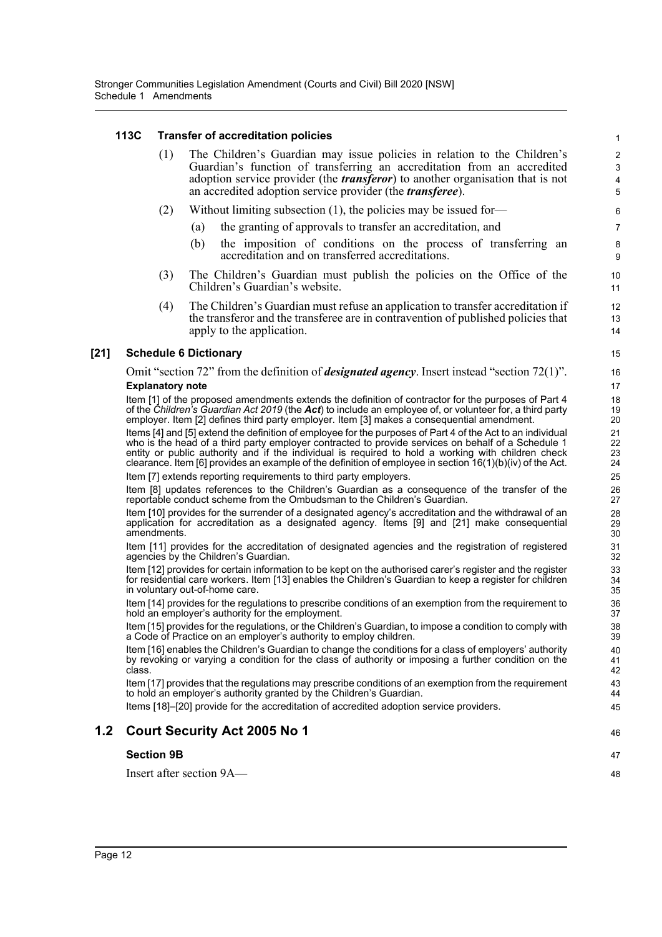### **113C Transfer of accreditation policies**

|        | 113C                         |     |     | <b>Transfer of accreditation policies</b>                                                                                                                                                                                                                                                                                                                                                                                             | $\mathbf{1}$               |
|--------|------------------------------|-----|-----|---------------------------------------------------------------------------------------------------------------------------------------------------------------------------------------------------------------------------------------------------------------------------------------------------------------------------------------------------------------------------------------------------------------------------------------|----------------------------|
|        |                              | (1) |     | The Children's Guardian may issue policies in relation to the Children's<br>Guardian's function of transferring an accreditation from an accredited<br>adoption service provider (the <i>transferor</i> ) to another organisation that is not<br>an accredited adoption service provider (the <i>transferee</i> ).                                                                                                                    | $\mathbf 2$<br>3<br>4<br>5 |
|        |                              | (2) |     | Without limiting subsection $(1)$ , the policies may be issued for-                                                                                                                                                                                                                                                                                                                                                                   | 6                          |
|        |                              |     | (a) | the granting of approvals to transfer an accreditation, and                                                                                                                                                                                                                                                                                                                                                                           | $\overline{7}$             |
|        |                              |     | (b) | the imposition of conditions on the process of transferring an<br>accreditation and on transferred accreditations.                                                                                                                                                                                                                                                                                                                    | 8<br>9                     |
|        |                              | (3) |     | The Children's Guardian must publish the policies on the Office of the<br>Children's Guardian's website.                                                                                                                                                                                                                                                                                                                              | 10<br>11                   |
|        |                              | (4) |     | The Children's Guardian must refuse an application to transfer accreditation if<br>the transferor and the transferee are in contravention of published policies that<br>apply to the application.                                                                                                                                                                                                                                     | 12<br>13<br>14             |
| $[21]$ | <b>Schedule 6 Dictionary</b> |     |     |                                                                                                                                                                                                                                                                                                                                                                                                                                       | 15                         |
|        | <b>Explanatory note</b>      |     |     | Omit "section 72" from the definition of <i>designated agency</i> . Insert instead "section 72(1)".                                                                                                                                                                                                                                                                                                                                   | 16<br>17                   |
|        |                              |     |     | Item [1] of the proposed amendments extends the definition of contractor for the purposes of Part 4<br>of the Children's Guardian Act 2019 (the Act) to include an employee of, or volunteer for, a third party<br>employer. Item [2] defines third party employer. Item [3] makes a consequential amendment.                                                                                                                         | 18<br>19<br>20             |
|        |                              |     |     | Items [4] and [5] extend the definition of employee for the purposes of Part 4 of the Act to an individual<br>who is the head of a third party employer contracted to provide services on behalf of a Schedule 1<br>entity or public authority and if the individual is required to hold a working with children check<br>clearance. Item [6] provides an example of the definition of employee in section $16(1)(b)(iv)$ of the Act. | 21<br>22<br>23<br>24       |
|        |                              |     |     | Item [7] extends reporting requirements to third party employers.                                                                                                                                                                                                                                                                                                                                                                     | 25                         |
|        |                              |     |     | Item [8] updates references to the Children's Guardian as a consequence of the transfer of the<br>reportable conduct scheme from the Ombudsman to the Children's Guardian.                                                                                                                                                                                                                                                            | 26<br>27                   |
|        | amendments.                  |     |     | Item [10] provides for the surrender of a designated agency's accreditation and the withdrawal of an<br>application for accreditation as a designated agency. Items [9] and [21] make consequential                                                                                                                                                                                                                                   | 28<br>29<br>30             |
|        |                              |     |     | Item [11] provides for the accreditation of designated agencies and the registration of registered<br>agencies by the Children's Guardian.                                                                                                                                                                                                                                                                                            | 31<br>32                   |
|        |                              |     |     | Item [12] provides for certain information to be kept on the authorised carer's register and the register<br>for residential care workers. Item [13] enables the Children's Guardian to keep a register for children<br>in voluntary out-of-home care.                                                                                                                                                                                | 33<br>34<br>35             |
|        |                              |     |     | Item [14] provides for the regulations to prescribe conditions of an exemption from the requirement to<br>hold an employer's authority for the employment.                                                                                                                                                                                                                                                                            | 36<br>37                   |
|        |                              |     |     | Item [15] provides for the regulations, or the Children's Guardian, to impose a condition to comply with<br>a Code of Practice on an employer's authority to employ children.                                                                                                                                                                                                                                                         | 38<br>39                   |
|        | class.                       |     |     | Item [16] enables the Children's Guardian to change the conditions for a class of employers' authority<br>by revoking or varying a condition for the class of authority or imposing a further condition on the                                                                                                                                                                                                                        | 40<br>41<br>42             |
|        |                              |     |     | Item [17] provides that the regulations may prescribe conditions of an exemption from the requirement<br>to hold an employer's authority granted by the Children's Guardian.                                                                                                                                                                                                                                                          | 43<br>44                   |
|        |                              |     |     | Items [18]–[20] provide for the accreditation of accredited adoption service providers.                                                                                                                                                                                                                                                                                                                                               | 45                         |
| 1.2    |                              |     |     | <b>Court Security Act 2005 No 1</b>                                                                                                                                                                                                                                                                                                                                                                                                   | 46                         |
|        | <b>Section 9B</b>            |     |     |                                                                                                                                                                                                                                                                                                                                                                                                                                       | 47                         |
|        |                              |     |     | Insert after section 9A—                                                                                                                                                                                                                                                                                                                                                                                                              | 48                         |
|        |                              |     |     |                                                                                                                                                                                                                                                                                                                                                                                                                                       |                            |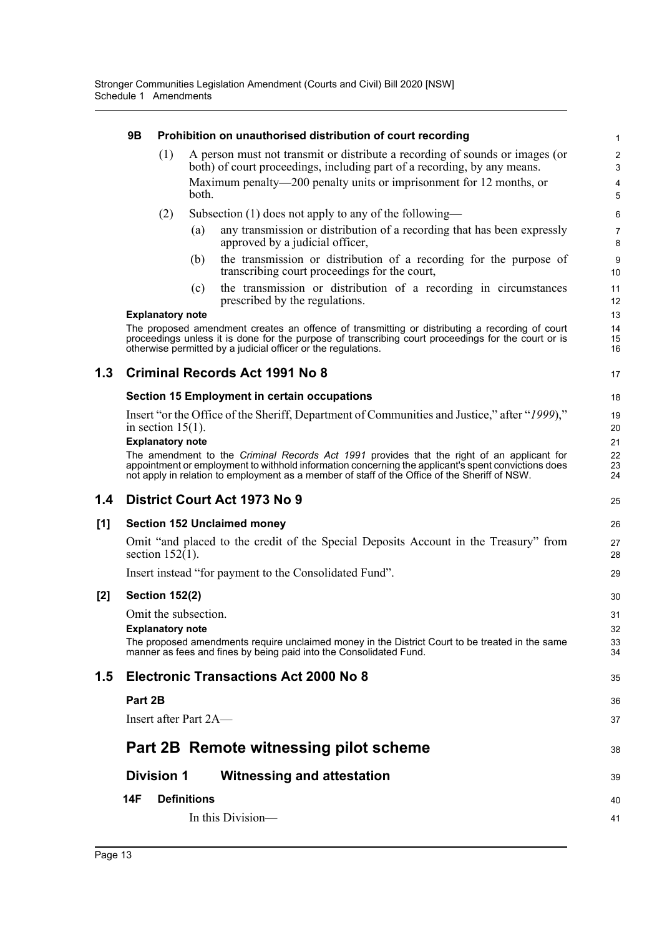|     | 9B      |                         | Prohibition on unauthorised distribution of court recording                                                                                                                                                                                                                                        | $\mathbf{1}$          |
|-----|---------|-------------------------|----------------------------------------------------------------------------------------------------------------------------------------------------------------------------------------------------------------------------------------------------------------------------------------------------|-----------------------|
|     |         | (1)                     | A person must not transmit or distribute a recording of sounds or images (or<br>both) of court proceedings, including part of a recording, by any means.                                                                                                                                           | $\boldsymbol{2}$<br>3 |
|     |         |                         | Maximum penalty—200 penalty units or imprisonment for 12 months, or<br>both.                                                                                                                                                                                                                       | 4<br>5                |
|     |         | (2)                     | Subsection $(1)$ does not apply to any of the following—                                                                                                                                                                                                                                           | 6                     |
|     |         |                         | any transmission or distribution of a recording that has been expressly<br>(a)<br>approved by a judicial officer,                                                                                                                                                                                  | $\overline{7}$<br>8   |
|     |         |                         | the transmission or distribution of a recording for the purpose of<br>(b)<br>transcribing court proceedings for the court,                                                                                                                                                                         | 9<br>10               |
|     |         |                         | the transmission or distribution of a recording in circumstances<br>(c)<br>prescribed by the regulations.                                                                                                                                                                                          | 11<br>12              |
|     |         | <b>Explanatory note</b> |                                                                                                                                                                                                                                                                                                    | 13                    |
|     |         |                         | The proposed amendment creates an offence of transmitting or distributing a recording of court<br>proceedings unless it is done for the purpose of transcribing court proceedings for the court or is<br>otherwise permitted by a judicial officer or the regulations.                             | 14<br>15<br>16        |
| 1.3 |         |                         | <b>Criminal Records Act 1991 No 8</b>                                                                                                                                                                                                                                                              | 17                    |
|     |         |                         | <b>Section 15 Employment in certain occupations</b>                                                                                                                                                                                                                                                | 18                    |
|     |         | in section $15(1)$ .    | Insert "or the Office of the Sheriff, Department of Communities and Justice," after "1999),"                                                                                                                                                                                                       | 19<br>20              |
|     |         | <b>Explanatory note</b> |                                                                                                                                                                                                                                                                                                    | 21                    |
|     |         |                         | The amendment to the Criminal Records Act 1991 provides that the right of an applicant for<br>appointment or employment to withhold information concerning the applicant's spent convictions does<br>not apply in relation to employment as a member of staff of the Office of the Sheriff of NSW. | 22<br>23<br>24        |
| 1.4 |         |                         | District Court Act 1973 No 9                                                                                                                                                                                                                                                                       | 25                    |
| [1] |         |                         | <b>Section 152 Unclaimed money</b>                                                                                                                                                                                                                                                                 | 26                    |
|     |         | section $152(1)$ .      | Omit "and placed to the credit of the Special Deposits Account in the Treasury" from                                                                                                                                                                                                               | 27<br>28              |
|     |         |                         | Insert instead "for payment to the Consolidated Fund".                                                                                                                                                                                                                                             | 29                    |
| [2] |         | <b>Section 152(2)</b>   |                                                                                                                                                                                                                                                                                                    | 30                    |
|     |         |                         | Omit the subsection.                                                                                                                                                                                                                                                                               | 31                    |
|     |         | <b>Explanatory note</b> |                                                                                                                                                                                                                                                                                                    | 32                    |
|     |         |                         | The proposed amendments require unclaimed money in the District Court to be treated in the same<br>manner as fees and fines by being paid into the Consolidated Fund.                                                                                                                              | 33<br>34              |
| 1.5 |         |                         | <b>Electronic Transactions Act 2000 No 8</b>                                                                                                                                                                                                                                                       | 35                    |
|     | Part 2B |                         |                                                                                                                                                                                                                                                                                                    | 36                    |
|     |         |                         | Insert after Part 2A—                                                                                                                                                                                                                                                                              | 37                    |
|     |         |                         | Part 2B Remote witnessing pilot scheme                                                                                                                                                                                                                                                             | 38                    |
|     |         | <b>Division 1</b>       | <b>Witnessing and attestation</b>                                                                                                                                                                                                                                                                  | 39                    |
|     | 14F     |                         | <b>Definitions</b>                                                                                                                                                                                                                                                                                 | 40                    |
|     |         |                         | In this Division-                                                                                                                                                                                                                                                                                  | 41                    |
|     |         |                         |                                                                                                                                                                                                                                                                                                    |                       |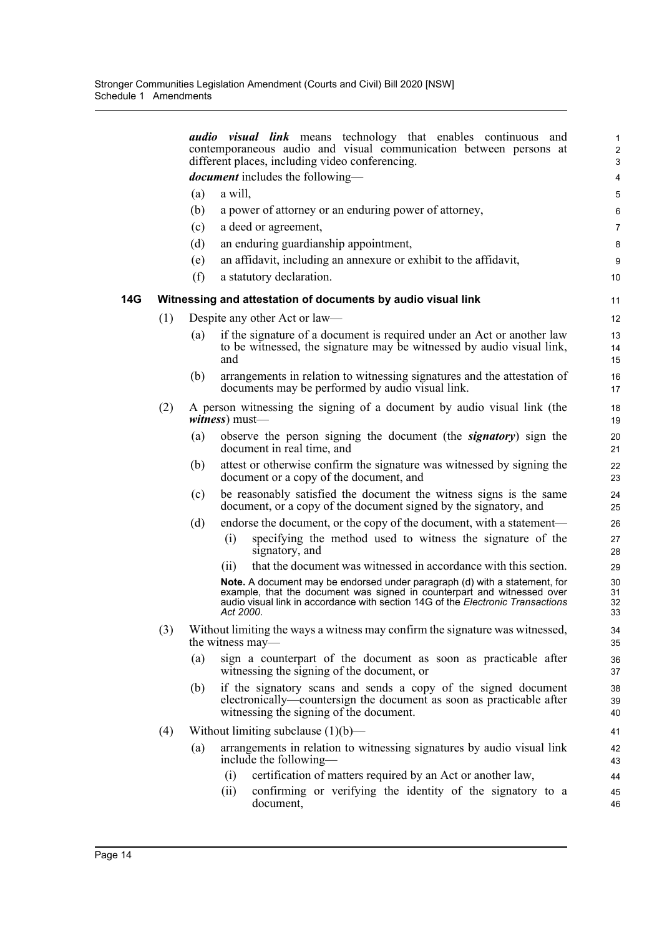|     |     |     | audio visual link means technology that enables continuous and<br>contemporaneous audio and visual communication between persons at                                                                                                                   | 1<br>$\overline{c}$  |
|-----|-----|-----|-------------------------------------------------------------------------------------------------------------------------------------------------------------------------------------------------------------------------------------------------------|----------------------|
|     |     |     | different places, including video conferencing.<br><i>document</i> includes the following—                                                                                                                                                            | 3<br>4               |
|     |     | (a) | a will,                                                                                                                                                                                                                                               | 5                    |
|     |     | (b) | a power of attorney or an enduring power of attorney,                                                                                                                                                                                                 | 6                    |
|     |     | (c) | a deed or agreement,                                                                                                                                                                                                                                  | $\overline{7}$       |
|     |     | (d) | an enduring guardianship appointment,                                                                                                                                                                                                                 | 8                    |
|     |     | (e) | an affidavit, including an annexure or exhibit to the affidavit,                                                                                                                                                                                      | 9                    |
|     |     | (f) | a statutory declaration.                                                                                                                                                                                                                              | 10                   |
| 14G |     |     | Witnessing and attestation of documents by audio visual link                                                                                                                                                                                          | 11                   |
|     | (1) |     | Despite any other Act or law—                                                                                                                                                                                                                         | 12                   |
|     |     | (a) | if the signature of a document is required under an Act or another law<br>to be witnessed, the signature may be witnessed by audio visual link,<br>and                                                                                                | 13<br>14<br>15       |
|     |     | (b) | arrangements in relation to witnessing signatures and the attestation of<br>documents may be performed by audio visual link.                                                                                                                          | 16<br>17             |
|     | (2) |     | A person witnessing the signing of a document by audio visual link (the<br>witness) must-                                                                                                                                                             | 18<br>19             |
|     |     | (a) | observe the person signing the document (the <b>signatory</b> ) sign the<br>document in real time, and                                                                                                                                                | 20<br>21             |
|     |     | (b) | attest or otherwise confirm the signature was witnessed by signing the<br>document or a copy of the document, and                                                                                                                                     | 22<br>23             |
|     |     | (c) | be reasonably satisfied the document the witness signs is the same<br>document, or a copy of the document signed by the signatory, and                                                                                                                | 24<br>25             |
|     |     | (d) | endorse the document, or the copy of the document, with a statement—                                                                                                                                                                                  | 26                   |
|     |     |     | specifying the method used to witness the signature of the<br>(i)<br>signatory, and                                                                                                                                                                   | 27<br>28             |
|     |     |     | that the document was witnessed in accordance with this section.<br>(i)                                                                                                                                                                               | 29                   |
|     |     |     | Note. A document may be endorsed under paragraph (d) with a statement, for<br>example, that the document was signed in counterpart and witnessed over<br>audio visual link in accordance with section 14G of the Electronic Transactions<br>Act 2000. | 30<br>31<br>32<br>33 |
|     | (3) |     | Without limiting the ways a witness may confirm the signature was witnessed,<br>the witness may—                                                                                                                                                      | 34<br>35             |
|     |     | (a) | sign a counterpart of the document as soon as practicable after<br>witnessing the signing of the document, or                                                                                                                                         | 36<br>37             |
|     |     | (b) | if the signatory scans and sends a copy of the signed document<br>electronically—countersign the document as soon as practicable after<br>witnessing the signing of the document.                                                                     | 38<br>39<br>40       |
|     | (4) |     | Without limiting subclause $(1)(b)$ —                                                                                                                                                                                                                 | 41                   |
|     |     | (a) | arrangements in relation to witnessing signatures by audio visual link<br>include the following—                                                                                                                                                      | 42<br>43             |
|     |     |     | certification of matters required by an Act or another law,<br>(i)                                                                                                                                                                                    | 44                   |
|     |     |     | confirming or verifying the identity of the signatory to a<br>(ii)<br>document,                                                                                                                                                                       | 45<br>46             |
|     |     |     |                                                                                                                                                                                                                                                       |                      |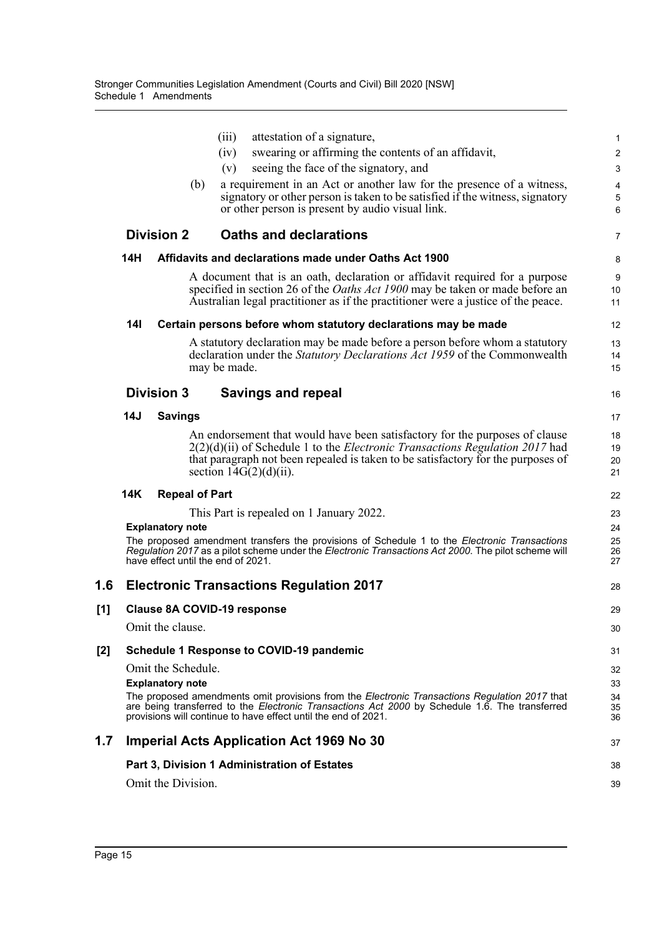|     |            |                         |     | (iii)                              | attestation of a signature,                                                                                                                                                                                                                                              | 1                   |
|-----|------------|-------------------------|-----|------------------------------------|--------------------------------------------------------------------------------------------------------------------------------------------------------------------------------------------------------------------------------------------------------------------------|---------------------|
|     |            |                         |     | (iv)                               | swearing or affirming the contents of an affidavit,                                                                                                                                                                                                                      | 2                   |
|     |            |                         | (b) | (v)                                | seeing the face of the signatory, and<br>a requirement in an Act or another law for the presence of a witness,                                                                                                                                                           | 3<br>$\overline{4}$ |
|     |            |                         |     |                                    | signatory or other person is taken to be satisfied if the witness, signatory                                                                                                                                                                                             | 5                   |
|     |            |                         |     |                                    | or other person is present by audio visual link.                                                                                                                                                                                                                         | 6                   |
|     |            | <b>Division 2</b>       |     |                                    | <b>Oaths and declarations</b>                                                                                                                                                                                                                                            | $\overline{7}$      |
|     | 14H        |                         |     |                                    | Affidavits and declarations made under Oaths Act 1900                                                                                                                                                                                                                    | 8                   |
|     |            |                         |     |                                    | A document that is an oath, declaration or affidavit required for a purpose                                                                                                                                                                                              | 9                   |
|     |            |                         |     |                                    | specified in section 26 of the <i>Oaths Act 1900</i> may be taken or made before an<br>Australian legal practitioner as if the practitioner were a justice of the peace.                                                                                                 | 10<br>11            |
|     | <b>14I</b> |                         |     |                                    | Certain persons before whom statutory declarations may be made                                                                                                                                                                                                           | 12                  |
|     |            |                         |     |                                    | A statutory declaration may be made before a person before whom a statutory                                                                                                                                                                                              | 13                  |
|     |            |                         |     | may be made.                       | declaration under the Statutory Declarations Act 1959 of the Commonwealth                                                                                                                                                                                                | 14<br>15            |
|     |            | <b>Division 3</b>       |     |                                    | <b>Savings and repeal</b>                                                                                                                                                                                                                                                | 16                  |
|     | 14J        | <b>Savings</b>          |     |                                    |                                                                                                                                                                                                                                                                          | 17                  |
|     |            |                         |     |                                    | An endorsement that would have been satisfactory for the purposes of clause                                                                                                                                                                                              | 18                  |
|     |            |                         |     |                                    | $2(2)(d)(ii)$ of Schedule 1 to the <i>Electronic Transactions Regulation 2017</i> had<br>that paragraph not been repealed is taken to be satisfactory for the purposes of                                                                                                | 19<br>20            |
|     |            |                         |     | section $14G(2)(d)(ii)$ .          |                                                                                                                                                                                                                                                                          | 21                  |
|     | 14K        | <b>Repeal of Part</b>   |     |                                    |                                                                                                                                                                                                                                                                          | 22                  |
|     |            |                         |     |                                    | This Part is repealed on 1 January 2022.                                                                                                                                                                                                                                 | 23                  |
|     |            | <b>Explanatory note</b> |     |                                    |                                                                                                                                                                                                                                                                          | 24<br>25            |
|     |            |                         |     | have effect until the end of 2021. | The proposed amendment transfers the provisions of Schedule 1 to the Electronic Transactions<br>Regulation 2017 as a pilot scheme under the Electronic Transactions Act 2000. The pilot scheme will                                                                      | 26<br>27            |
| 1.6 |            |                         |     |                                    | <b>Electronic Transactions Regulation 2017</b>                                                                                                                                                                                                                           | 28                  |
| [1] |            |                         |     | <b>Clause 8A COVID-19 response</b> |                                                                                                                                                                                                                                                                          | 29                  |
|     |            | Omit the clause.        |     |                                    |                                                                                                                                                                                                                                                                          | 30                  |
| [2] |            |                         |     |                                    | <b>Schedule 1 Response to COVID-19 pandemic</b>                                                                                                                                                                                                                          | 31                  |
|     |            | Omit the Schedule.      |     |                                    |                                                                                                                                                                                                                                                                          | 32                  |
|     |            | <b>Explanatory note</b> |     |                                    |                                                                                                                                                                                                                                                                          | 33                  |
|     |            |                         |     |                                    | The proposed amendments omit provisions from the <i>Electronic Transactions Regulation 2017</i> that<br>are being transferred to the Electronic Transactions Act 2000 by Schedule 1.6. The transferred<br>provisions will continue to have effect until the end of 2021. | 34<br>35<br>36      |
| 1.7 |            |                         |     |                                    | <b>Imperial Acts Application Act 1969 No 30</b>                                                                                                                                                                                                                          | 37                  |
|     |            |                         |     |                                    | Part 3, Division 1 Administration of Estates                                                                                                                                                                                                                             | 38                  |
|     |            | Omit the Division.      |     |                                    |                                                                                                                                                                                                                                                                          | 39                  |
|     |            |                         |     |                                    |                                                                                                                                                                                                                                                                          |                     |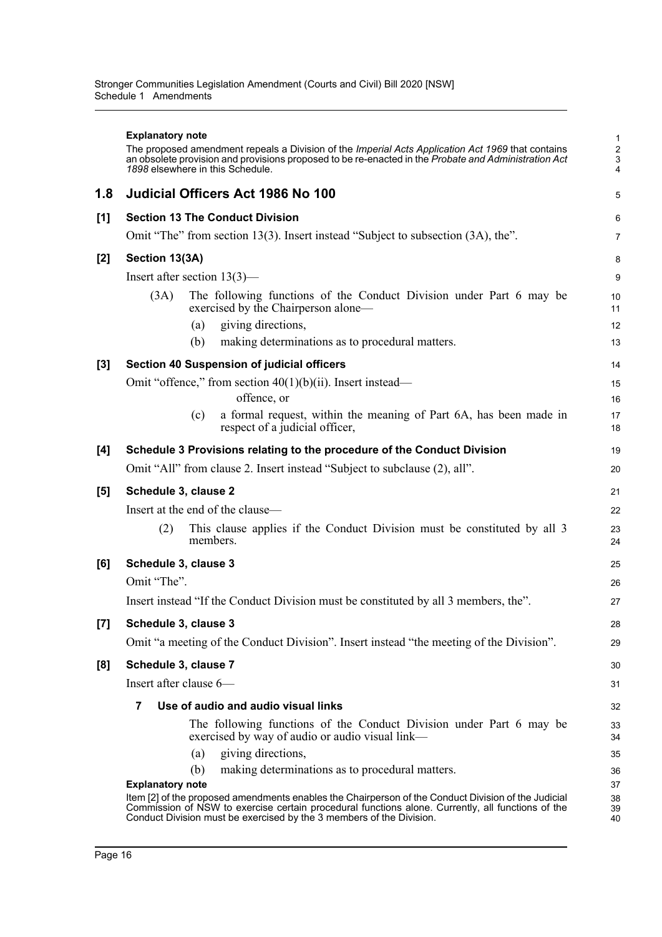|     | <b>Explanatory note</b><br>The proposed amendment repeals a Division of the Imperial Acts Application Act 1969 that contains<br>an obsolete provision and provisions proposed to be re-enacted in the Probate and Administration Act<br>1898 elsewhere in this Schedule. | 1<br>$\frac{2}{3}$<br>4 |  |  |  |  |  |  |
|-----|--------------------------------------------------------------------------------------------------------------------------------------------------------------------------------------------------------------------------------------------------------------------------|-------------------------|--|--|--|--|--|--|
| 1.8 | <b>Judicial Officers Act 1986 No 100</b>                                                                                                                                                                                                                                 | 5                       |  |  |  |  |  |  |
| [1] | <b>Section 13 The Conduct Division</b>                                                                                                                                                                                                                                   | 6                       |  |  |  |  |  |  |
|     | Omit "The" from section 13(3). Insert instead "Subject to subsection (3A), the".                                                                                                                                                                                         | 7                       |  |  |  |  |  |  |
| [2] | Section 13(3A)                                                                                                                                                                                                                                                           | 8                       |  |  |  |  |  |  |
|     | Insert after section $13(3)$ —                                                                                                                                                                                                                                           |                         |  |  |  |  |  |  |
|     | The following functions of the Conduct Division under Part 6 may be<br>(3A)<br>exercised by the Chairperson alone—<br>giving directions,<br>(a)<br>making determinations as to procedural matters.<br>(b)                                                                | 10<br>11<br>12<br>13    |  |  |  |  |  |  |
| [3] | <b>Section 40 Suspension of judicial officers</b>                                                                                                                                                                                                                        | 14                      |  |  |  |  |  |  |
|     | Omit "offence," from section $40(1)(b)(ii)$ . Insert instead—<br>offence, or<br>a formal request, within the meaning of Part 6A, has been made in<br>(c)<br>respect of a judicial officer,                                                                               | 15<br>16<br>17<br>18    |  |  |  |  |  |  |
| [4] | Schedule 3 Provisions relating to the procedure of the Conduct Division                                                                                                                                                                                                  |                         |  |  |  |  |  |  |
|     | Omit "All" from clause 2. Insert instead "Subject to subclause (2), all".                                                                                                                                                                                                |                         |  |  |  |  |  |  |
| [5] | Schedule 3, clause 2                                                                                                                                                                                                                                                     |                         |  |  |  |  |  |  |
|     | Insert at the end of the clause-                                                                                                                                                                                                                                         |                         |  |  |  |  |  |  |
|     | This clause applies if the Conduct Division must be constituted by all 3<br>(2)<br>members.                                                                                                                                                                              | 23<br>24                |  |  |  |  |  |  |
| [6] | Schedule 3, clause 3                                                                                                                                                                                                                                                     |                         |  |  |  |  |  |  |
|     | Omit "The".                                                                                                                                                                                                                                                              |                         |  |  |  |  |  |  |
|     | Insert instead "If the Conduct Division must be constituted by all 3 members, the".                                                                                                                                                                                      |                         |  |  |  |  |  |  |
| [7] | Schedule 3, clause 3                                                                                                                                                                                                                                                     | 28                      |  |  |  |  |  |  |
|     | Omit "a meeting of the Conduct Division". Insert instead "the meeting of the Division".                                                                                                                                                                                  | 29                      |  |  |  |  |  |  |
| [8] | Schedule 3, clause 7                                                                                                                                                                                                                                                     | 30                      |  |  |  |  |  |  |
|     | Insert after clause 6-                                                                                                                                                                                                                                                   | 31                      |  |  |  |  |  |  |
|     | Use of audio and audio visual links<br>7                                                                                                                                                                                                                                 |                         |  |  |  |  |  |  |
|     | The following functions of the Conduct Division under Part 6 may be<br>exercised by way of audio or audio visual link—                                                                                                                                                   | 33<br>34                |  |  |  |  |  |  |
|     | giving directions,<br>(a)                                                                                                                                                                                                                                                | 35                      |  |  |  |  |  |  |
|     | making determinations as to procedural matters.<br>(b)                                                                                                                                                                                                                   | 36                      |  |  |  |  |  |  |
|     | <b>Explanatory note</b><br>Item [2] of the proposed amendments enables the Chairperson of the Conduct Division of the Judicial                                                                                                                                           | 37<br>38                |  |  |  |  |  |  |
|     | Commission of NSW to exercise certain procedural functions alone. Currently, all functions of the<br>Conduct Division must be exercised by the 3 members of the Division.                                                                                                | 39<br>40                |  |  |  |  |  |  |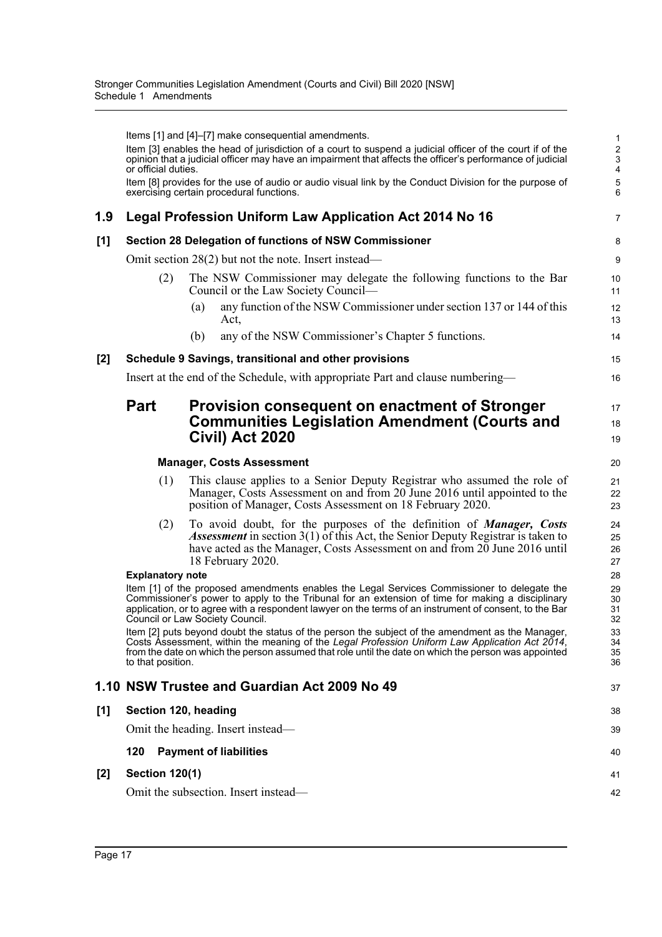|     | or official duties.     | Items [1] and [4]–[7] make consequential amendments.<br>Item [3] enables the head of jurisdiction of a court to suspend a judicial officer of the court if of the<br>opinion that a judicial officer may have an impairment that affects the officer's performance of judicial                                                               | $\mathbf{1}$<br>$\sqrt{2}$<br>$\sqrt{3}$<br>4 |  |  |  |  |  |
|-----|-------------------------|----------------------------------------------------------------------------------------------------------------------------------------------------------------------------------------------------------------------------------------------------------------------------------------------------------------------------------------------|-----------------------------------------------|--|--|--|--|--|
|     |                         | Item [8] provides for the use of audio or audio visual link by the Conduct Division for the purpose of<br>exercising certain procedural functions.                                                                                                                                                                                           | 5<br>6                                        |  |  |  |  |  |
| 1.9 |                         | Legal Profession Uniform Law Application Act 2014 No 16                                                                                                                                                                                                                                                                                      | $\overline{7}$                                |  |  |  |  |  |
| [1] |                         | Section 28 Delegation of functions of NSW Commissioner                                                                                                                                                                                                                                                                                       | 8                                             |  |  |  |  |  |
|     |                         | Omit section $28(2)$ but not the note. Insert instead—                                                                                                                                                                                                                                                                                       | 9                                             |  |  |  |  |  |
|     | (2)                     | The NSW Commissioner may delegate the following functions to the Bar<br>Council or the Law Society Council—                                                                                                                                                                                                                                  | 10<br>11                                      |  |  |  |  |  |
|     |                         | any function of the NSW Commissioner under section 137 or 144 of this<br>(a)<br>Act,                                                                                                                                                                                                                                                         | 12<br>13                                      |  |  |  |  |  |
|     |                         | any of the NSW Commissioner's Chapter 5 functions.<br>(b)                                                                                                                                                                                                                                                                                    | 14                                            |  |  |  |  |  |
| [2] |                         | Schedule 9 Savings, transitional and other provisions                                                                                                                                                                                                                                                                                        | 15                                            |  |  |  |  |  |
|     |                         | Insert at the end of the Schedule, with appropriate Part and clause numbering—                                                                                                                                                                                                                                                               | 16                                            |  |  |  |  |  |
|     | <b>Part</b>             | <b>Provision consequent on enactment of Stronger</b><br><b>Communities Legislation Amendment (Courts and</b><br>Civil) Act 2020                                                                                                                                                                                                              | 17<br>18<br>19                                |  |  |  |  |  |
|     |                         | <b>Manager, Costs Assessment</b>                                                                                                                                                                                                                                                                                                             | 20                                            |  |  |  |  |  |
|     | (1)                     | This clause applies to a Senior Deputy Registrar who assumed the role of<br>Manager, Costs Assessment on and from 20 June 2016 until appointed to the<br>position of Manager, Costs Assessment on 18 February 2020.                                                                                                                          | 21<br>22<br>23                                |  |  |  |  |  |
|     | (2)                     | To avoid doubt, for the purposes of the definition of <i>Manager</i> , Costs<br><i>Assessment</i> in section $3(1)$ of this Act, the Senior Deputy Registrar is taken to<br>have acted as the Manager, Costs Assessment on and from 20 June 2016 until<br>18 February 2020.                                                                  | 24<br>25<br>26<br>27                          |  |  |  |  |  |
|     | <b>Explanatory note</b> |                                                                                                                                                                                                                                                                                                                                              |                                               |  |  |  |  |  |
|     |                         | Item [1] of the proposed amendments enables the Legal Services Commissioner to delegate the<br>Commissioner's power to apply to the Tribunal for an extension of time for making a disciplinary<br>application, or to agree with a respondent lawyer on the terms of an instrument of consent, to the Bar<br>Council or Law Society Council. | 29<br>30<br>31<br>32                          |  |  |  |  |  |
|     | to that position.       | Item [2] puts beyond doubt the status of the person the subject of the amendment as the Manager,<br>Costs Assessment, within the meaning of the Legal Profession Uniform Law Application Act 2014,<br>from the date on which the person assumed that role until the date on which the person was appointed                                   | 33<br>34<br>35<br>36                          |  |  |  |  |  |
|     |                         | 1.10 NSW Trustee and Guardian Act 2009 No 49                                                                                                                                                                                                                                                                                                 | 37                                            |  |  |  |  |  |
| [1] | Section 120, heading    |                                                                                                                                                                                                                                                                                                                                              | 38                                            |  |  |  |  |  |
|     |                         | Omit the heading. Insert instead—                                                                                                                                                                                                                                                                                                            | 39                                            |  |  |  |  |  |
|     | 120                     | <b>Payment of liabilities</b>                                                                                                                                                                                                                                                                                                                | 40                                            |  |  |  |  |  |
| [2] | <b>Section 120(1)</b>   |                                                                                                                                                                                                                                                                                                                                              | 41                                            |  |  |  |  |  |
|     |                         | Omit the subsection. Insert instead—                                                                                                                                                                                                                                                                                                         | 42                                            |  |  |  |  |  |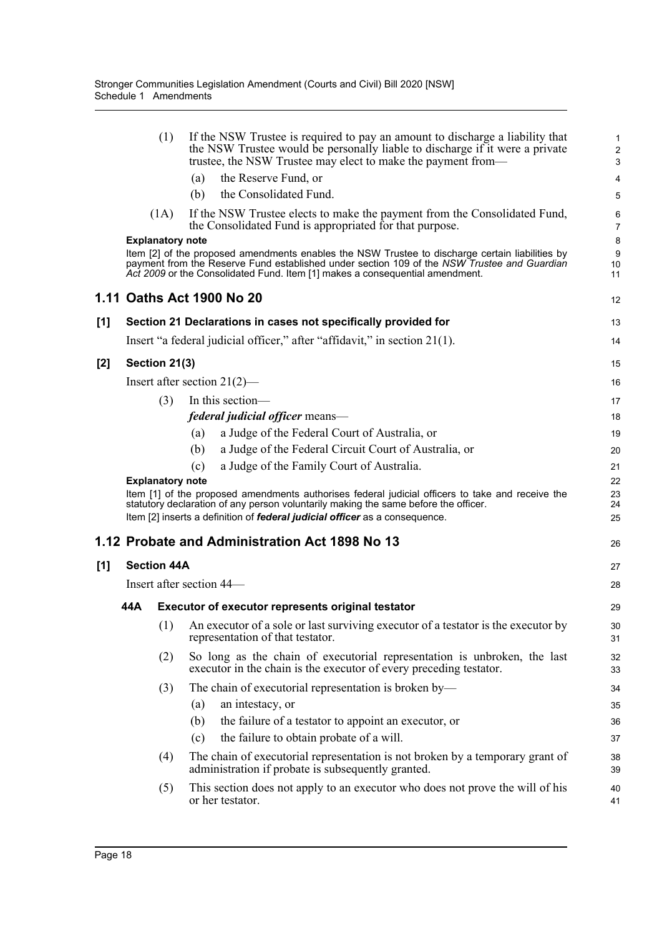|     |     | (1)                     | If the NSW Trustee is required to pay an amount to discharge a liability that<br>the NSW Trustee would be personally liable to discharge if it were a private<br>trustee, the NSW Trustee may elect to make the payment from-                                                  | 1<br>$\overline{\mathbf{c}}$<br>3 |
|-----|-----|-------------------------|--------------------------------------------------------------------------------------------------------------------------------------------------------------------------------------------------------------------------------------------------------------------------------|-----------------------------------|
|     |     |                         | the Reserve Fund, or<br>(a)                                                                                                                                                                                                                                                    | 4                                 |
|     |     |                         | the Consolidated Fund.<br>(b)                                                                                                                                                                                                                                                  | 5                                 |
|     |     | (1A)                    | If the NSW Trustee elects to make the payment from the Consolidated Fund,<br>the Consolidated Fund is appropriated for that purpose.                                                                                                                                           | 6<br>$\overline{7}$               |
|     |     | <b>Explanatory note</b> |                                                                                                                                                                                                                                                                                | 8                                 |
|     |     |                         | Item [2] of the proposed amendments enables the NSW Trustee to discharge certain liabilities by<br>payment from the Reserve Fund established under section 109 of the NSW Trustee and Guardian<br>Act 2009 or the Consolidated Fund. Item [1] makes a consequential amendment. | 9<br>10<br>11                     |
|     |     |                         | 1.11 Oaths Act 1900 No 20                                                                                                                                                                                                                                                      | 12                                |
| [1] |     |                         | Section 21 Declarations in cases not specifically provided for                                                                                                                                                                                                                 | 13                                |
|     |     |                         | Insert "a federal judicial officer," after "affidavit," in section 21(1).                                                                                                                                                                                                      | 14                                |
| [2] |     | Section 21(3)           |                                                                                                                                                                                                                                                                                | 15                                |
|     |     |                         | Insert after section $21(2)$ —                                                                                                                                                                                                                                                 | 16                                |
|     |     | (3)                     | In this section-                                                                                                                                                                                                                                                               | 17                                |
|     |     |                         | federal judicial officer means-                                                                                                                                                                                                                                                | 18                                |
|     |     |                         | a Judge of the Federal Court of Australia, or<br>(a)                                                                                                                                                                                                                           | 19                                |
|     |     |                         | a Judge of the Federal Circuit Court of Australia, or<br>(b)                                                                                                                                                                                                                   | 20                                |
|     |     |                         | a Judge of the Family Court of Australia.<br>(c)                                                                                                                                                                                                                               | 21                                |
|     |     | <b>Explanatory note</b> | Item [1] of the proposed amendments authorises federal judicial officers to take and receive the<br>statutory declaration of any person voluntarily making the same before the officer.<br>Item [2] inserts a definition of federal judicial officer as a consequence.         | 22<br>23<br>24<br>25              |
|     |     |                         | 1.12 Probate and Administration Act 1898 No 13                                                                                                                                                                                                                                 | 26                                |
| [1] |     | <b>Section 44A</b>      |                                                                                                                                                                                                                                                                                | 27                                |
|     |     |                         | Insert after section 44—                                                                                                                                                                                                                                                       | 28                                |
|     | 44A |                         | <b>Executor of executor represents original testator</b>                                                                                                                                                                                                                       | 29                                |
|     |     | (1)                     | An executor of a sole or last surviving executor of a testator is the executor by<br>representation of that testator.                                                                                                                                                          | 30<br>31                          |
|     |     | (2)                     | So long as the chain of executorial representation is unbroken, the last<br>executor in the chain is the executor of every preceding testator.                                                                                                                                 | 32<br>33                          |
|     |     | (3)                     | The chain of executorial representation is broken by—                                                                                                                                                                                                                          | 34                                |
|     |     |                         | (a)<br>an intestacy, or                                                                                                                                                                                                                                                        | 35                                |
|     |     |                         | the failure of a testator to appoint an executor, or<br>(b)                                                                                                                                                                                                                    | 36                                |
|     |     |                         | the failure to obtain probate of a will.<br>(c)                                                                                                                                                                                                                                | 37                                |
|     |     | (4)                     | The chain of executorial representation is not broken by a temporary grant of<br>administration if probate is subsequently granted.                                                                                                                                            | 38<br>39                          |
|     |     |                         |                                                                                                                                                                                                                                                                                |                                   |
|     |     | (5)                     | This section does not apply to an executor who does not prove the will of his<br>or her testator.                                                                                                                                                                              | 40<br>41                          |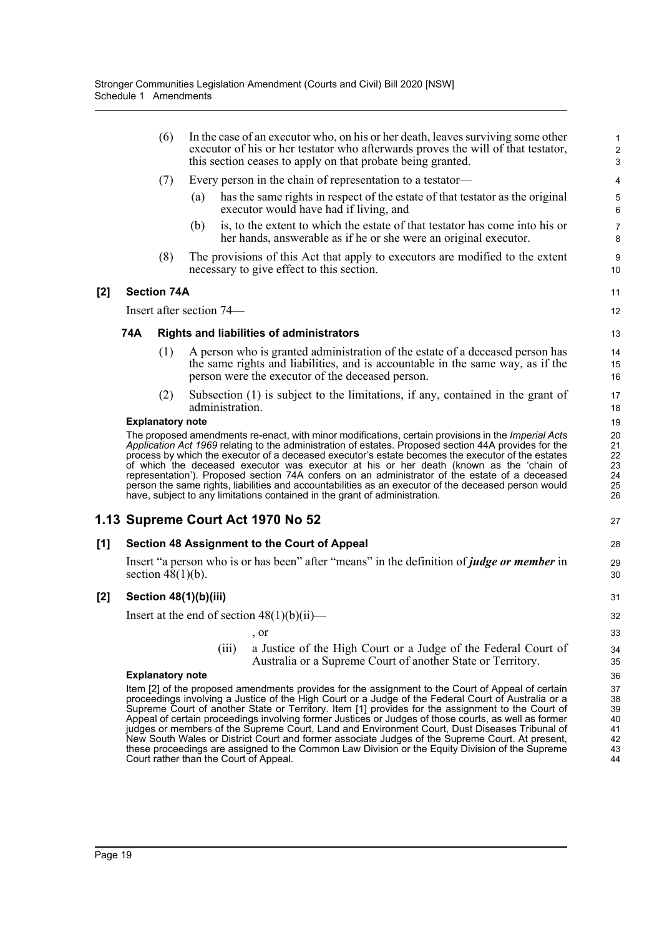|       |     | (6)                     |                          | In the case of an executor who, on his or her death, leaves surviving some other<br>executor of his or her testator who afterwards proves the will of that testator,<br>this section ceases to apply on that probate being granted.                                                                                                                                                                                                                                                                                                                                                                                                                                                                  | $\mathbf{1}$<br>$\mathbf{2}$<br>$\mathbf{3}$ |
|-------|-----|-------------------------|--------------------------|------------------------------------------------------------------------------------------------------------------------------------------------------------------------------------------------------------------------------------------------------------------------------------------------------------------------------------------------------------------------------------------------------------------------------------------------------------------------------------------------------------------------------------------------------------------------------------------------------------------------------------------------------------------------------------------------------|----------------------------------------------|
|       |     | (7)                     |                          | Every person in the chain of representation to a testator—                                                                                                                                                                                                                                                                                                                                                                                                                                                                                                                                                                                                                                           | $\overline{\mathbf{4}}$                      |
|       |     |                         | (a)                      | has the same rights in respect of the estate of that testator as the original<br>executor would have had if living, and                                                                                                                                                                                                                                                                                                                                                                                                                                                                                                                                                                              | $\mathbf 5$<br>$\,6\,$                       |
|       |     |                         | (b)                      | is, to the extent to which the estate of that testator has come into his or<br>her hands, answerable as if he or she were an original executor.                                                                                                                                                                                                                                                                                                                                                                                                                                                                                                                                                      | $\overline{7}$<br>8                          |
|       |     | (8)                     |                          | The provisions of this Act that apply to executors are modified to the extent<br>necessary to give effect to this section.                                                                                                                                                                                                                                                                                                                                                                                                                                                                                                                                                                           | 9<br>10                                      |
| $[2]$ |     | <b>Section 74A</b>      |                          |                                                                                                                                                                                                                                                                                                                                                                                                                                                                                                                                                                                                                                                                                                      | 11                                           |
|       |     |                         | Insert after section 74— |                                                                                                                                                                                                                                                                                                                                                                                                                                                                                                                                                                                                                                                                                                      | 12                                           |
|       | 74A |                         |                          | <b>Rights and liabilities of administrators</b>                                                                                                                                                                                                                                                                                                                                                                                                                                                                                                                                                                                                                                                      | 13                                           |
|       |     | (1)                     |                          | A person who is granted administration of the estate of a deceased person has<br>the same rights and liabilities, and is accountable in the same way, as if the<br>person were the executor of the deceased person.                                                                                                                                                                                                                                                                                                                                                                                                                                                                                  | 14<br>15<br>16                               |
|       |     | (2)                     | administration.          | Subsection (1) is subject to the limitations, if any, contained in the grant of                                                                                                                                                                                                                                                                                                                                                                                                                                                                                                                                                                                                                      | 17<br>18                                     |
|       |     | <b>Explanatory note</b> |                          |                                                                                                                                                                                                                                                                                                                                                                                                                                                                                                                                                                                                                                                                                                      | 19                                           |
|       |     |                         |                          | The proposed amendments re-enact, with minor modifications, certain provisions in the Imperial Acts<br>Application Act 1969 relating to the administration of estates. Proposed section 44A provides for the<br>process by which the executor of a deceased executor's estate becomes the executor of the estates<br>of which the deceased executor was executor at his or her death (known as the 'chain of<br>representation'). Proposed section 74A confers on an administrator of the estate of a deceased<br>person the same rights, liabilities and accountabilities as an executor of the deceased person would<br>have, subject to any limitations contained in the grant of administration. | 20<br>21<br>22<br>23<br>24<br>25<br>26       |
|       |     |                         |                          | 1.13 Supreme Court Act 1970 No 52                                                                                                                                                                                                                                                                                                                                                                                                                                                                                                                                                                                                                                                                    | 27                                           |
| [1]   |     |                         |                          | Section 48 Assignment to the Court of Appeal                                                                                                                                                                                                                                                                                                                                                                                                                                                                                                                                                                                                                                                         | 28                                           |
|       |     | section $48(1)(b)$ .    |                          | Insert "a person who is or has been" after "means" in the definition of <i>judge or member</i> in                                                                                                                                                                                                                                                                                                                                                                                                                                                                                                                                                                                                    | 29<br>30                                     |
| [2]   |     |                         | Section 48(1)(b)(iii)    |                                                                                                                                                                                                                                                                                                                                                                                                                                                                                                                                                                                                                                                                                                      | 31                                           |
|       |     |                         |                          | Insert at the end of section $48(1)(b)(ii)$ —                                                                                                                                                                                                                                                                                                                                                                                                                                                                                                                                                                                                                                                        | 32                                           |
|       |     |                         |                          | , or                                                                                                                                                                                                                                                                                                                                                                                                                                                                                                                                                                                                                                                                                                 | 33                                           |
|       |     |                         | (iii)                    | a Justice of the High Court or a Judge of the Federal Court of<br>Australia or a Supreme Court of another State or Territory.                                                                                                                                                                                                                                                                                                                                                                                                                                                                                                                                                                        | 34<br>35                                     |
|       |     | <b>Explanatory note</b> |                          |                                                                                                                                                                                                                                                                                                                                                                                                                                                                                                                                                                                                                                                                                                      | 36                                           |
|       |     |                         |                          | Item [2] of the proposed amendments provides for the assignment to the Court of Appeal of certain<br>proceedings involving a Justice of the High Court or a Judge of the Federal Court of Australia or a<br>Supreme Court of another State or Territory. Item [1] provides for the assignment to the Court of<br>Appeal of certain proceedings involving former Justices or Judges of those courts, as well as former<br>judges or members of the Supreme Court, Land and Environment Court, Dust Diseases Tribunal of<br>New South Wales or District Court and former associate Judges of the Supreme Court. At present,                                                                            | 37<br>38<br>39<br>40<br>41<br>42             |
|       |     |                         |                          | these proceedings are assigned to the Common Law Division or the Equity Division of the Supreme<br>Court rather than the Court of Appeal.                                                                                                                                                                                                                                                                                                                                                                                                                                                                                                                                                            | 43<br>44                                     |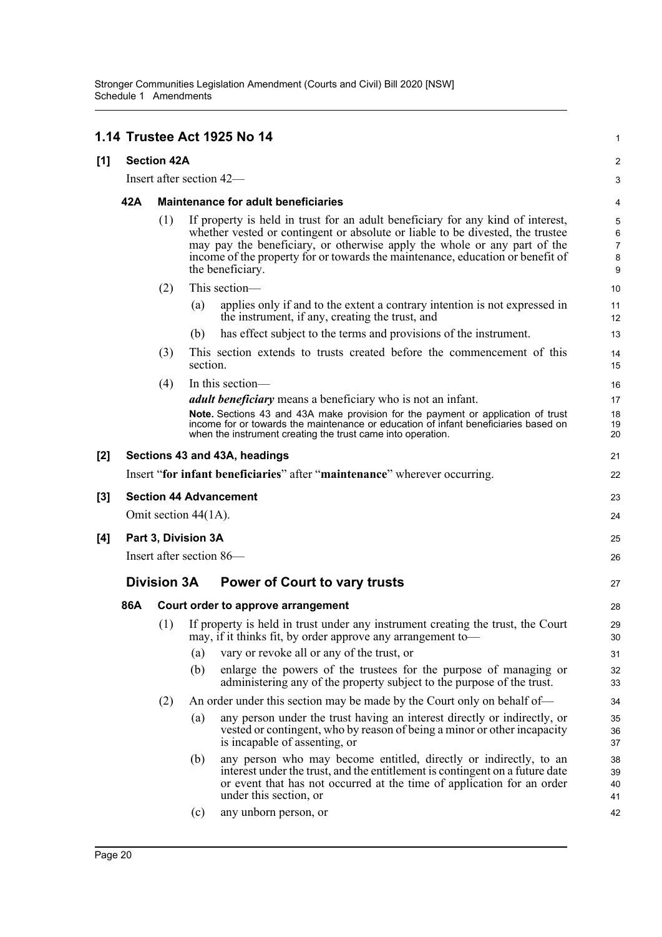|     |                                                |                                            |          | 1.14 Trustee Act 1925 No 14                                                                                                                                                                                                                                                                                                                         | 1                                  |  |  |
|-----|------------------------------------------------|--------------------------------------------|----------|-----------------------------------------------------------------------------------------------------------------------------------------------------------------------------------------------------------------------------------------------------------------------------------------------------------------------------------------------------|------------------------------------|--|--|
| [1] | <b>Section 42A</b><br>Insert after section 42- |                                            |          |                                                                                                                                                                                                                                                                                                                                                     |                                    |  |  |
|     |                                                |                                            |          |                                                                                                                                                                                                                                                                                                                                                     |                                    |  |  |
|     | 42A                                            | <b>Maintenance for adult beneficiaries</b> |          |                                                                                                                                                                                                                                                                                                                                                     |                                    |  |  |
|     |                                                | (1)                                        |          | If property is held in trust for an adult beneficiary for any kind of interest,<br>whether vested or contingent or absolute or liable to be divested, the trustee<br>may pay the beneficiary, or otherwise apply the whole or any part of the<br>income of the property for or towards the maintenance, education or benefit of<br>the beneficiary. | 5<br>6<br>$\overline{7}$<br>8<br>9 |  |  |
|     |                                                | (2)                                        |          | This section-                                                                                                                                                                                                                                                                                                                                       | 10                                 |  |  |
|     |                                                |                                            | (a)      | applies only if and to the extent a contrary intention is not expressed in<br>the instrument, if any, creating the trust, and                                                                                                                                                                                                                       | 11<br>12                           |  |  |
|     |                                                |                                            | (b)      | has effect subject to the terms and provisions of the instrument.                                                                                                                                                                                                                                                                                   | 13                                 |  |  |
|     |                                                | (3)                                        | section. | This section extends to trusts created before the commencement of this                                                                                                                                                                                                                                                                              | 14<br>15                           |  |  |
|     |                                                | (4)                                        |          | In this section-                                                                                                                                                                                                                                                                                                                                    | 16                                 |  |  |
|     |                                                |                                            |          | <i>adult beneficiary</i> means a beneficiary who is not an infant.<br>Note. Sections 43 and 43A make provision for the payment or application of trust<br>income for or towards the maintenance or education of infant beneficiaries based on<br>when the instrument creating the trust came into operation.                                        | 17<br>18<br>19<br>20               |  |  |
| [2] |                                                |                                            |          | Sections 43 and 43A, headings                                                                                                                                                                                                                                                                                                                       | 21                                 |  |  |
|     |                                                |                                            |          | Insert "for infant beneficiaries" after "maintenance" wherever occurring.                                                                                                                                                                                                                                                                           | 22                                 |  |  |
| [3] |                                                |                                            |          | <b>Section 44 Advancement</b>                                                                                                                                                                                                                                                                                                                       | 23                                 |  |  |
|     |                                                | Omit section 44(1A).                       |          |                                                                                                                                                                                                                                                                                                                                                     | 24                                 |  |  |
| [4] | Part 3, Division 3A                            |                                            |          |                                                                                                                                                                                                                                                                                                                                                     |                                    |  |  |
|     | Insert after section 86—                       |                                            |          |                                                                                                                                                                                                                                                                                                                                                     |                                    |  |  |
|     | <b>Division 3A</b>                             |                                            |          | <b>Power of Court to vary trusts</b>                                                                                                                                                                                                                                                                                                                |                                    |  |  |
|     | 86A                                            | Court order to approve arrangement         |          |                                                                                                                                                                                                                                                                                                                                                     | 28                                 |  |  |
|     |                                                |                                            |          | (1) If property is held in trust under any instrument creating the trust, the Court<br>may, if it thinks fit, by order approve any arrangement to-                                                                                                                                                                                                  | 29<br>30                           |  |  |
|     |                                                |                                            | (a)      | vary or revoke all or any of the trust, or                                                                                                                                                                                                                                                                                                          | 31                                 |  |  |
|     |                                                |                                            | (b)      | enlarge the powers of the trustees for the purpose of managing or<br>administering any of the property subject to the purpose of the trust.                                                                                                                                                                                                         | 32<br>33                           |  |  |
|     |                                                | (2)                                        |          | An order under this section may be made by the Court only on behalf of—                                                                                                                                                                                                                                                                             | 34                                 |  |  |
|     |                                                |                                            | (a)      | any person under the trust having an interest directly or indirectly, or<br>vested or contingent, who by reason of being a minor or other incapacity<br>is incapable of assenting, or                                                                                                                                                               | 35<br>36<br>37                     |  |  |
|     |                                                |                                            | (b)      | any person who may become entitled, directly or indirectly, to an<br>interest under the trust, and the entitlement is contingent on a future date<br>or event that has not occurred at the time of application for an order<br>under this section, or                                                                                               | 38<br>39<br>40<br>41               |  |  |
|     |                                                |                                            | (c)      | any unborn person, or                                                                                                                                                                                                                                                                                                                               | 42                                 |  |  |